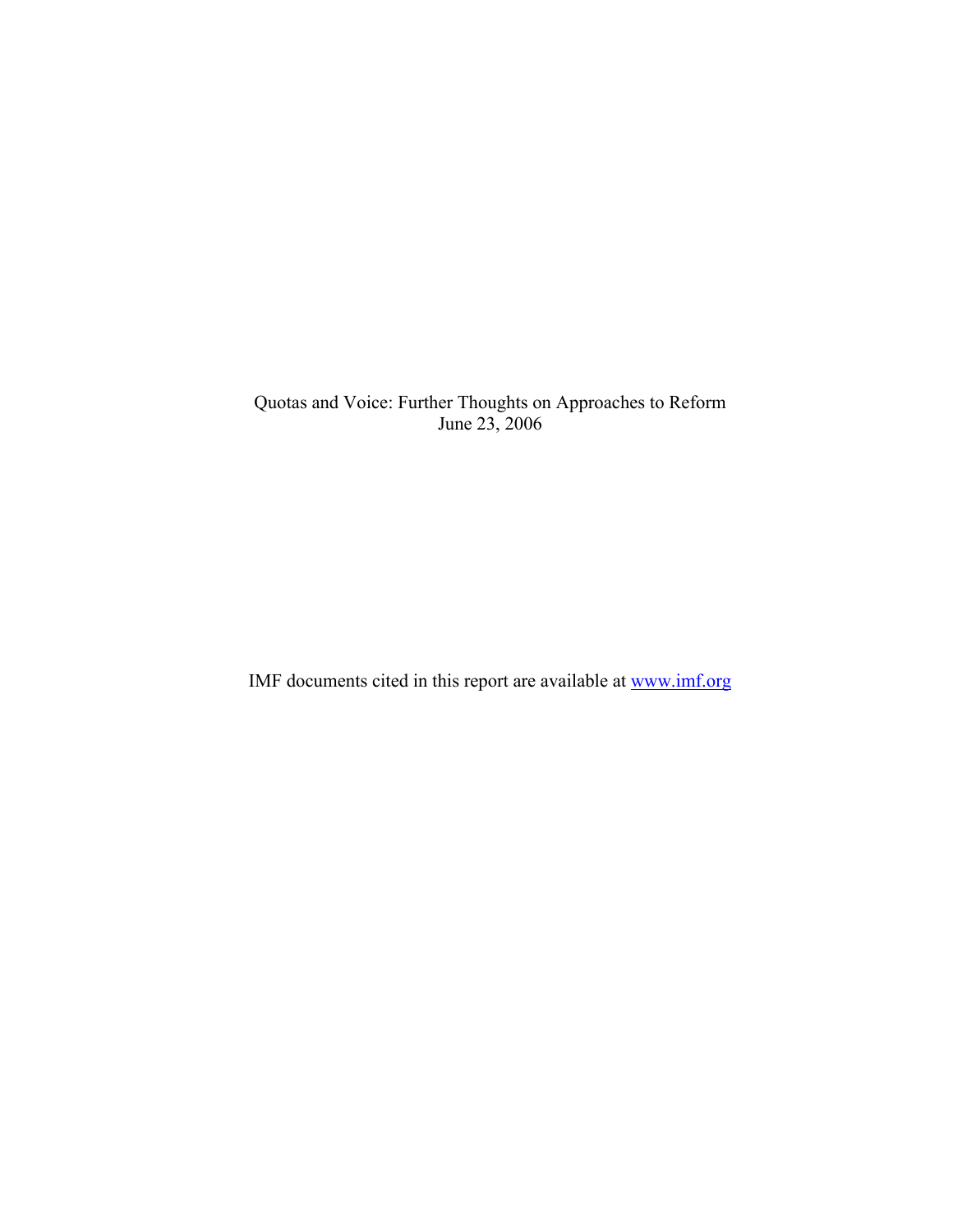Quotas and Voice: Further Thoughts on Approaches to Reform June 23, 2006

IMF documents cited in this report are available at www.imf.org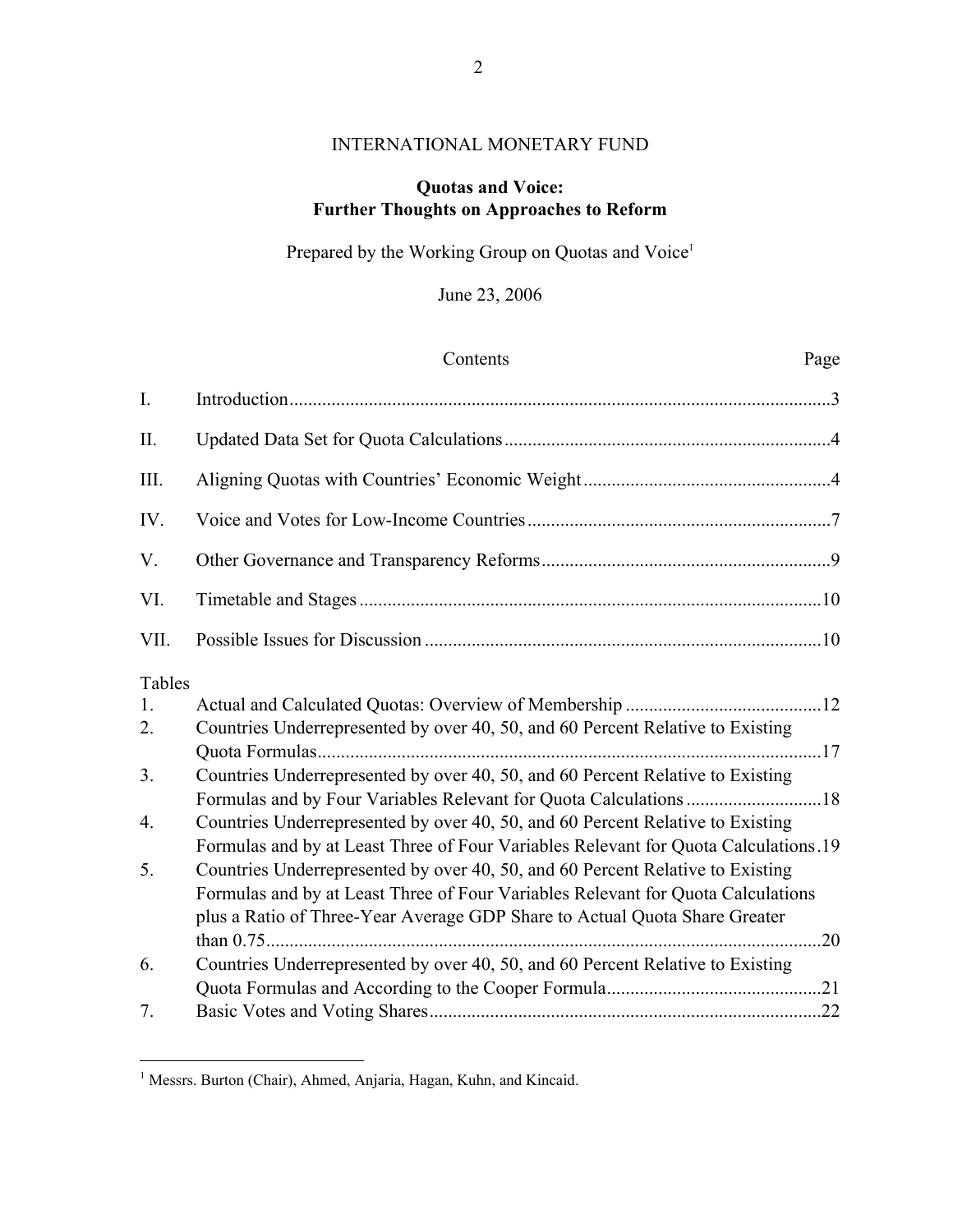# INTERNATIONAL MONETARY FUND

# **Quotas and Voice: Further Thoughts on Approaches to Reform**

Prepared by the Working Group on Quotas and Voice<sup>1</sup>

June 23, 2006

|             | Contents                                                                            | Page |
|-------------|-------------------------------------------------------------------------------------|------|
| $I_{\cdot}$ |                                                                                     |      |
| II.         |                                                                                     |      |
| III.        |                                                                                     |      |
| IV.         |                                                                                     |      |
| V.          |                                                                                     |      |
| VI.         |                                                                                     |      |
| VII.        |                                                                                     |      |
| Tables      |                                                                                     |      |
| 1.          |                                                                                     |      |
| 2.          | Countries Underrepresented by over 40, 50, and 60 Percent Relative to Existing      |      |
|             |                                                                                     |      |
| 3.          | Countries Underrepresented by over 40, 50, and 60 Percent Relative to Existing      |      |
|             | Formulas and by Four Variables Relevant for Quota Calculations 18                   |      |
| 4.          | Countries Underrepresented by over 40, 50, and 60 Percent Relative to Existing      |      |
|             | Formulas and by at Least Three of Four Variables Relevant for Quota Calculations.19 |      |
| 5.          | Countries Underrepresented by over 40, 50, and 60 Percent Relative to Existing      |      |
|             | Formulas and by at Least Three of Four Variables Relevant for Quota Calculations    |      |
|             | plus a Ratio of Three-Year Average GDP Share to Actual Quota Share Greater          |      |
|             |                                                                                     |      |
| 6.          | Countries Underrepresented by over 40, 50, and 60 Percent Relative to Existing      |      |
|             |                                                                                     |      |
| 7.          |                                                                                     |      |

<sup>&</sup>lt;sup>1</sup> Messrs. Burton (Chair), Ahmed, Anjaria, Hagan, Kuhn, and Kincaid.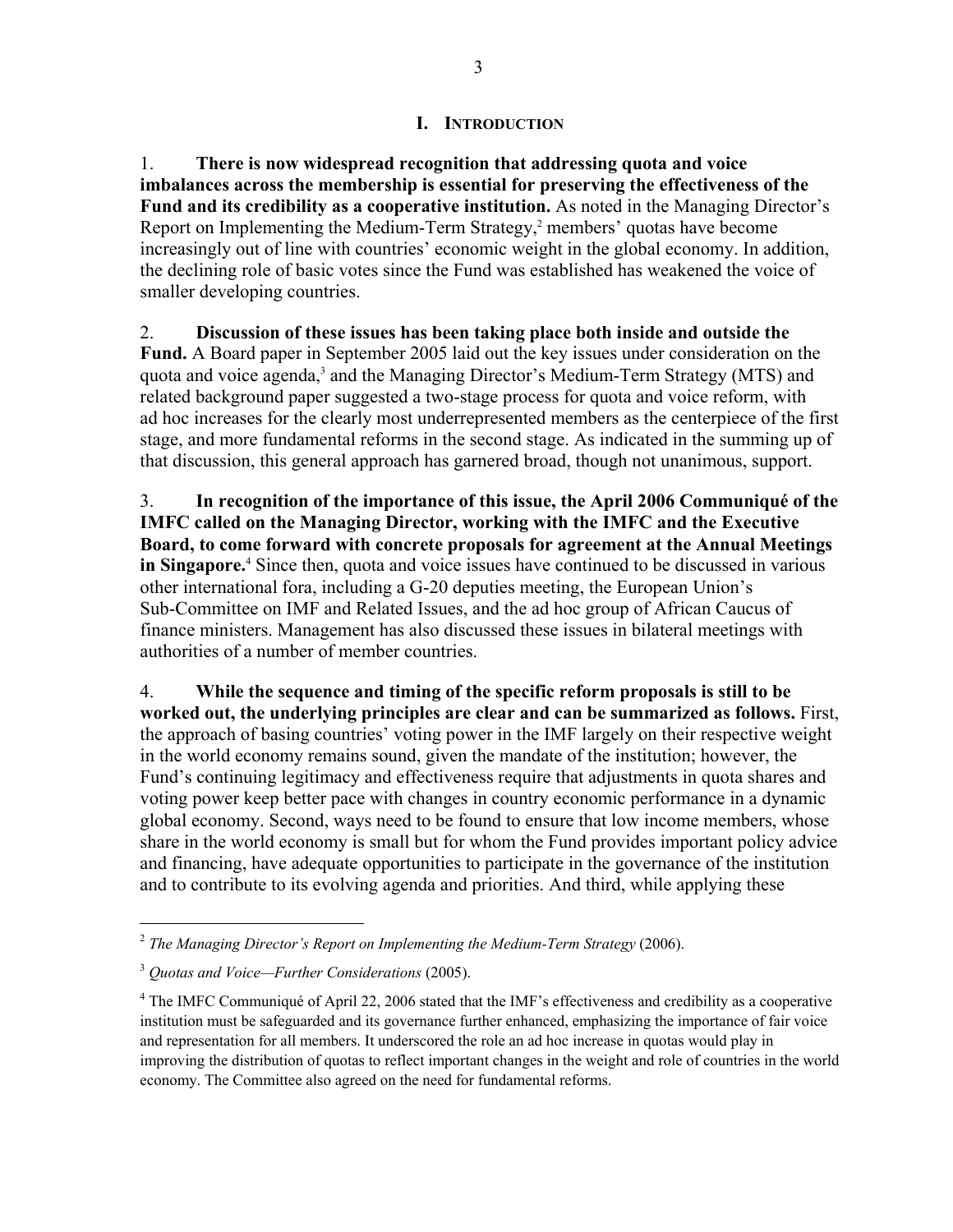### **I. INTRODUCTION**

1. **There is now widespread recognition that addressing quota and voice imbalances across the membership is essential for preserving the effectiveness of the Fund and its credibility as a cooperative institution.** As noted in the Managing Director's Report on Implementing the Medium-Term Strategy,<sup>2</sup> members' quotas have become increasingly out of line with countries' economic weight in the global economy. In addition, the declining role of basic votes since the Fund was established has weakened the voice of smaller developing countries.

#### 2. **Discussion of these issues has been taking place both inside and outside the**

**Fund.** A Board paper in September 2005 laid out the key issues under consideration on the quota and voice agenda,<sup>3</sup> and the Managing Director's Medium-Term Strategy (MTS) and related background paper suggested a two-stage process for quota and voice reform, with ad hoc increases for the clearly most underrepresented members as the centerpiece of the first stage, and more fundamental reforms in the second stage. As indicated in the summing up of that discussion, this general approach has garnered broad, though not unanimous, support.

3. **In recognition of the importance of this issue, the April 2006 Communiqué of the IMFC called on the Managing Director, working with the IMFC and the Executive Board, to come forward with concrete proposals for agreement at the Annual Meetings**  in Singapore.<sup>4</sup> Since then, quota and voice issues have continued to be discussed in various other international fora, including a G-20 deputies meeting, the European Union's Sub-Committee on IMF and Related Issues, and the ad hoc group of African Caucus of finance ministers. Management has also discussed these issues in bilateral meetings with authorities of a number of member countries.

4. **While the sequence and timing of the specific reform proposals is still to be worked out, the underlying principles are clear and can be summarized as follows.** First, the approach of basing countries' voting power in the IMF largely on their respective weight in the world economy remains sound, given the mandate of the institution; however, the Fund's continuing legitimacy and effectiveness require that adjustments in quota shares and voting power keep better pace with changes in country economic performance in a dynamic global economy. Second, ways need to be found to ensure that low income members, whose share in the world economy is small but for whom the Fund provides important policy advice and financing, have adequate opportunities to participate in the governance of the institution and to contribute to its evolving agenda and priorities. And third, while applying these

<sup>2</sup> *The Managing Director's Report on Implementing the Medium-Term Strategy* (2006).

<sup>3</sup> *Quotas and Voice—Further Considerations* (2005).

<sup>&</sup>lt;sup>4</sup> The IMFC Communiqué of April 22, 2006 stated that the IMF's effectiveness and credibility as a cooperative institution must be safeguarded and its governance further enhanced, emphasizing the importance of fair voice and representation for all members. It underscored the role an ad hoc increase in quotas would play in improving the distribution of quotas to reflect important changes in the weight and role of countries in the world economy. The Committee also agreed on the need for fundamental reforms.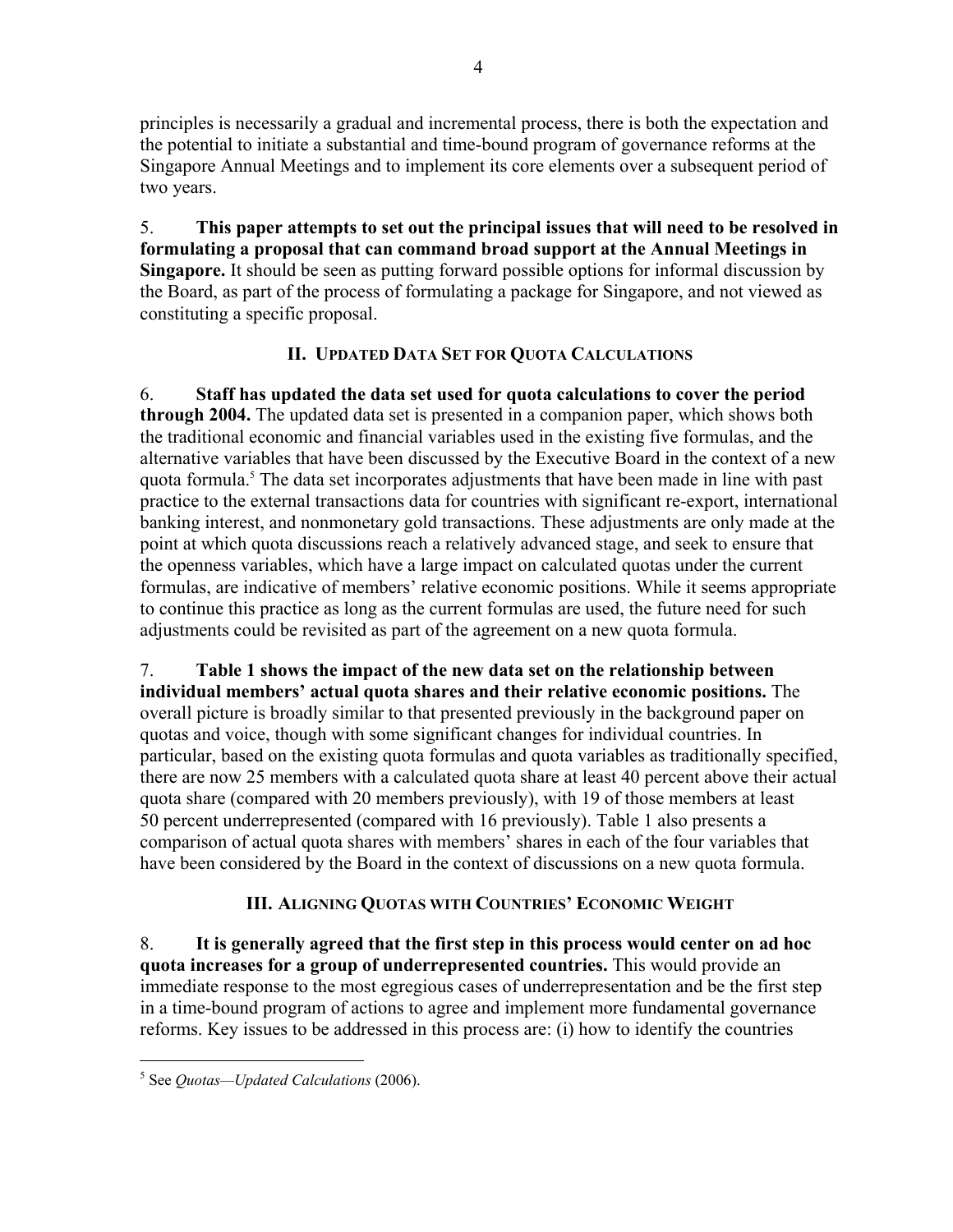principles is necessarily a gradual and incremental process, there is both the expectation and the potential to initiate a substantial and time-bound program of governance reforms at the Singapore Annual Meetings and to implement its core elements over a subsequent period of two years.

5. **This paper attempts to set out the principal issues that will need to be resolved in formulating a proposal that can command broad support at the Annual Meetings in Singapore.** It should be seen as putting forward possible options for informal discussion by the Board, as part of the process of formulating a package for Singapore, and not viewed as constituting a specific proposal.

# **II. UPDATED DATA SET FOR QUOTA CALCULATIONS**

6. **Staff has updated the data set used for quota calculations to cover the period through 2004.** The updated data set is presented in a companion paper, which shows both the traditional economic and financial variables used in the existing five formulas, and the alternative variables that have been discussed by the Executive Board in the context of a new quota formula.<sup>5</sup> The data set incorporates adjustments that have been made in line with past practice to the external transactions data for countries with significant re-export, international banking interest, and nonmonetary gold transactions. These adjustments are only made at the point at which quota discussions reach a relatively advanced stage, and seek to ensure that the openness variables, which have a large impact on calculated quotas under the current formulas, are indicative of members' relative economic positions. While it seems appropriate to continue this practice as long as the current formulas are used, the future need for such adjustments could be revisited as part of the agreement on a new quota formula.

7. **Table 1 shows the impact of the new data set on the relationship between individual members' actual quota shares and their relative economic positions.** The overall picture is broadly similar to that presented previously in the background paper on quotas and voice, though with some significant changes for individual countries. In particular, based on the existing quota formulas and quota variables as traditionally specified, there are now 25 members with a calculated quota share at least 40 percent above their actual quota share (compared with 20 members previously), with 19 of those members at least 50 percent underrepresented (compared with 16 previously). Table 1 also presents a comparison of actual quota shares with members' shares in each of the four variables that have been considered by the Board in the context of discussions on a new quota formula.

# **III. ALIGNING QUOTAS WITH COUNTRIES' ECONOMIC WEIGHT**

8. **It is generally agreed that the first step in this process would center on ad hoc quota increases for a group of underrepresented countries.** This would provide an immediate response to the most egregious cases of underrepresentation and be the first step in a time-bound program of actions to agree and implement more fundamental governance reforms. Key issues to be addressed in this process are: (i) how to identify the countries

<sup>5</sup> See *Quotas—Updated Calculations* (2006).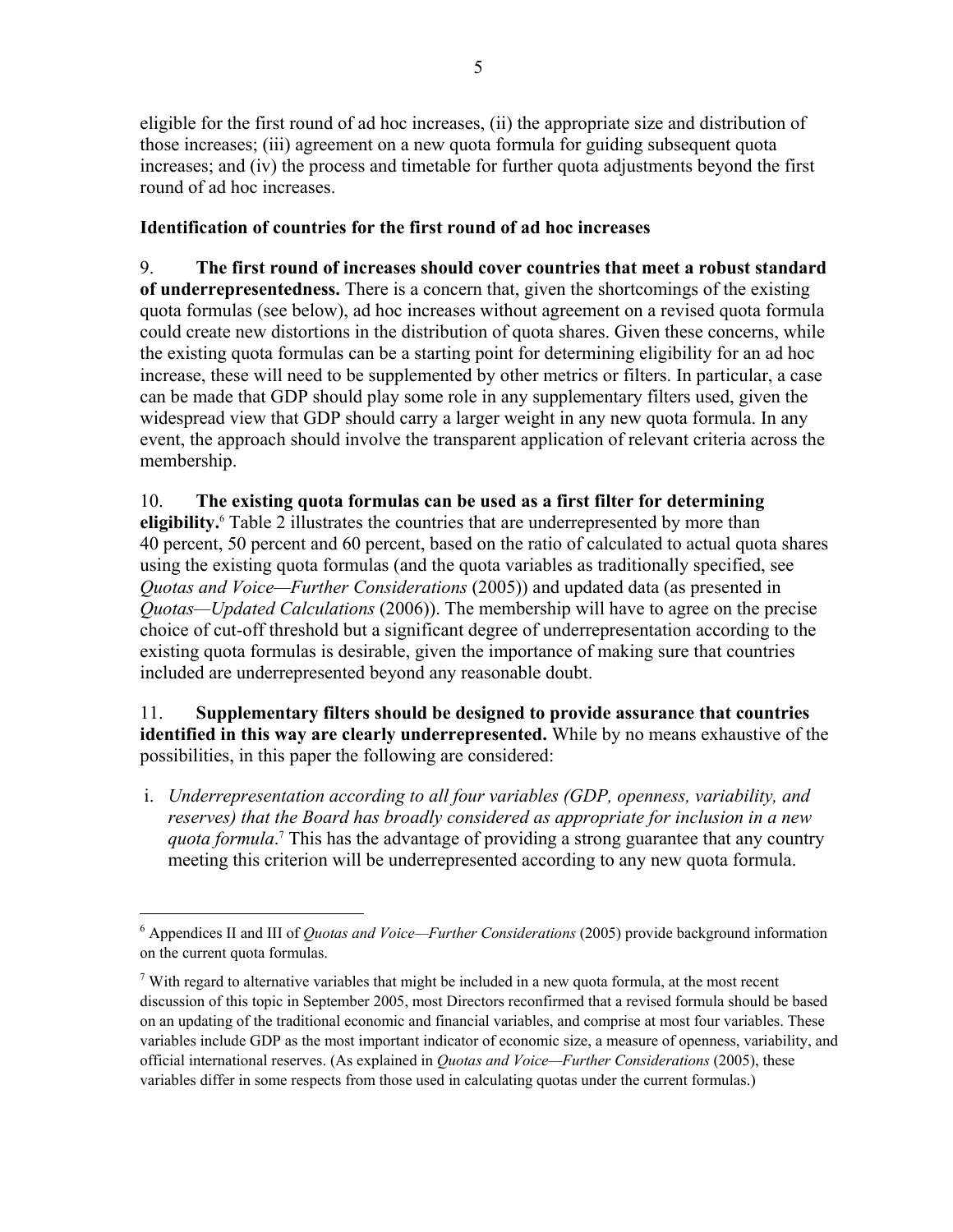eligible for the first round of ad hoc increases, (ii) the appropriate size and distribution of those increases; (iii) agreement on a new quota formula for guiding subsequent quota increases; and (iv) the process and timetable for further quota adjustments beyond the first round of ad hoc increases.

# **Identification of countries for the first round of ad hoc increases**

9. **The first round of increases should cover countries that meet a robust standard of underrepresentedness.** There is a concern that, given the shortcomings of the existing quota formulas (see below), ad hoc increases without agreement on a revised quota formula could create new distortions in the distribution of quota shares. Given these concerns, while the existing quota formulas can be a starting point for determining eligibility for an ad hoc increase, these will need to be supplemented by other metrics or filters. In particular, a case can be made that GDP should play some role in any supplementary filters used, given the widespread view that GDP should carry a larger weight in any new quota formula. In any event, the approach should involve the transparent application of relevant criteria across the membership.

# 10. **The existing quota formulas can be used as a first filter for determining**

**eligibility.**<sup>6</sup> Table 2 illustrates the countries that are underrepresented by more than 40 percent, 50 percent and 60 percent, based on the ratio of calculated to actual quota shares using the existing quota formulas (and the quota variables as traditionally specified, see *Quotas and Voice—Further Considerations* (2005)) and updated data (as presented in *Quotas—Updated Calculations* (2006)). The membership will have to agree on the precise choice of cut-off threshold but a significant degree of underrepresentation according to the existing quota formulas is desirable, given the importance of making sure that countries included are underrepresented beyond any reasonable doubt.

## 11. **Supplementary filters should be designed to provide assurance that countries identified in this way are clearly underrepresented.** While by no means exhaustive of the possibilities, in this paper the following are considered:

i. *Underrepresentation according to all four variables (GDP, openness, variability, and reserves) that the Board has broadly considered as appropriate for inclusion in a new*  quota formula.<sup>7</sup> This has the advantage of providing a strong guarantee that any country meeting this criterion will be underrepresented according to any new quota formula.

<sup>6</sup> Appendices II and III of *Quotas and Voice—Further Considerations* (2005) provide background information on the current quota formulas.

 $<sup>7</sup>$  With regard to alternative variables that might be included in a new quota formula, at the most recent</sup> discussion of this topic in September 2005, most Directors reconfirmed that a revised formula should be based on an updating of the traditional economic and financial variables, and comprise at most four variables. These variables include GDP as the most important indicator of economic size, a measure of openness, variability, and official international reserves. (As explained in *Quotas and Voice—Further Considerations* (2005), these variables differ in some respects from those used in calculating quotas under the current formulas.)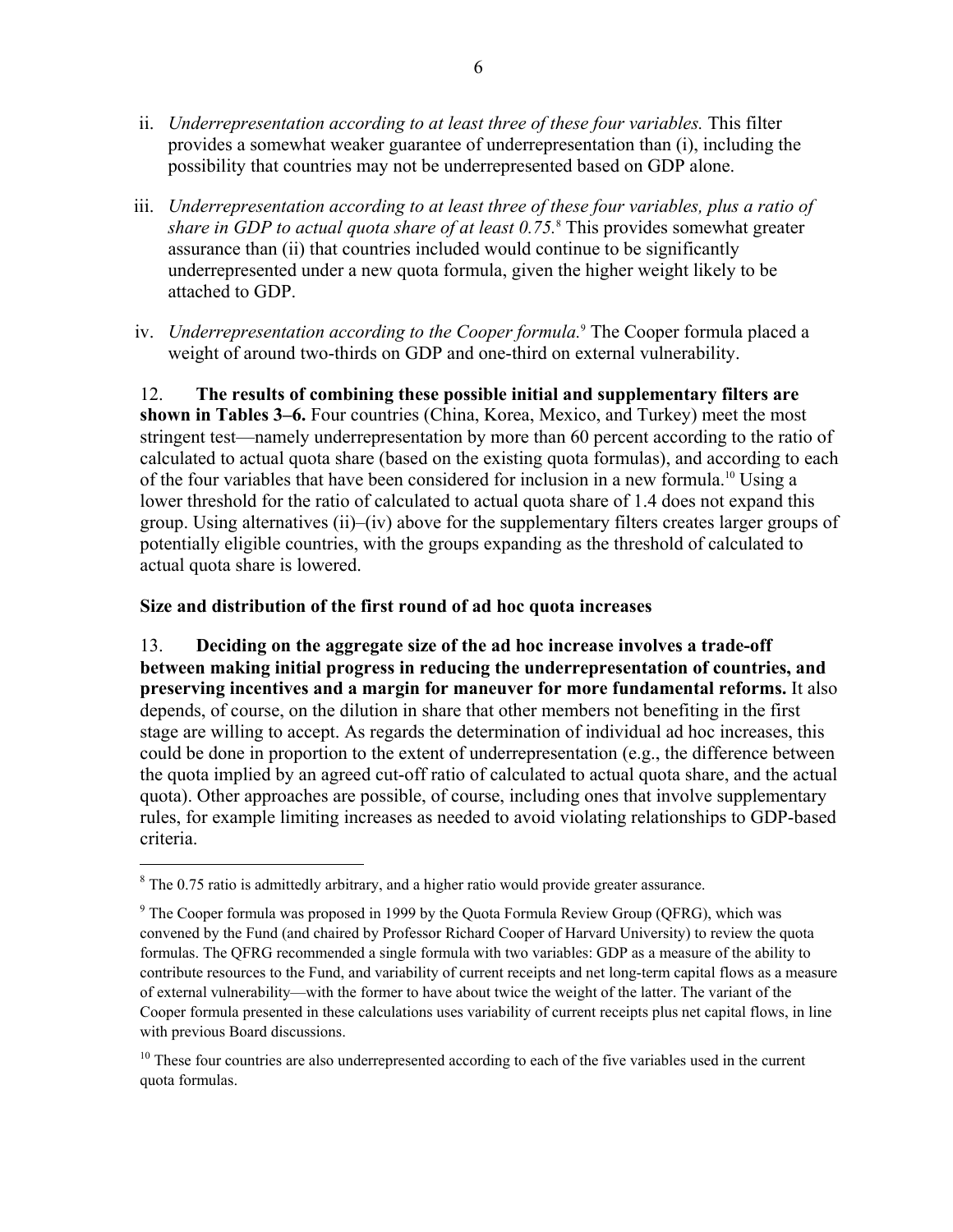- ii. *Underrepresentation according to at least three of these four variables.* This filter provides a somewhat weaker guarantee of underrepresentation than (i), including the possibility that countries may not be underrepresented based on GDP alone.
- iii. *Underrepresentation according to at least three of these four variables, plus a ratio of share in GDP to actual quota share of at least 0.75.*<sup>8</sup> This provides somewhat greater assurance than (ii) that countries included would continue to be significantly underrepresented under a new quota formula, given the higher weight likely to be attached to GDP.
- iv. *Underrepresentation according to the Cooper formula.*<sup>9</sup> The Cooper formula placed a weight of around two-thirds on GDP and one-third on external vulnerability.

12. **The results of combining these possible initial and supplementary filters are shown in Tables 3–6.** Four countries (China, Korea, Mexico, and Turkey) meet the most stringent test—namely underrepresentation by more than 60 percent according to the ratio of calculated to actual quota share (based on the existing quota formulas), and according to each of the four variables that have been considered for inclusion in a new formula.<sup>10</sup> Using a lower threshold for the ratio of calculated to actual quota share of 1.4 does not expand this group. Using alternatives (ii)–(iv) above for the supplementary filters creates larger groups of potentially eligible countries, with the groups expanding as the threshold of calculated to actual quota share is lowered.

### **Size and distribution of the first round of ad hoc quota increases**

13. **Deciding on the aggregate size of the ad hoc increase involves a trade-off between making initial progress in reducing the underrepresentation of countries, and preserving incentives and a margin for maneuver for more fundamental reforms.** It also depends, of course, on the dilution in share that other members not benefiting in the first stage are willing to accept. As regards the determination of individual ad hoc increases, this could be done in proportion to the extent of underrepresentation (e.g., the difference between the quota implied by an agreed cut-off ratio of calculated to actual quota share, and the actual quota). Other approaches are possible, of course, including ones that involve supplementary rules, for example limiting increases as needed to avoid violating relationships to GDP-based criteria.

 $8$  The 0.75 ratio is admittedly arbitrary, and a higher ratio would provide greater assurance.

 $9^9$  The Cooper formula was proposed in 1999 by the Quota Formula Review Group (QFRG), which was convened by the Fund (and chaired by Professor Richard Cooper of Harvard University) to review the quota formulas. The QFRG recommended a single formula with two variables: GDP as a measure of the ability to contribute resources to the Fund, and variability of current receipts and net long-term capital flows as a measure of external vulnerability—with the former to have about twice the weight of the latter. The variant of the Cooper formula presented in these calculations uses variability of current receipts plus net capital flows, in line with previous Board discussions.

<sup>&</sup>lt;sup>10</sup> These four countries are also underrepresented according to each of the five variables used in the current quota formulas.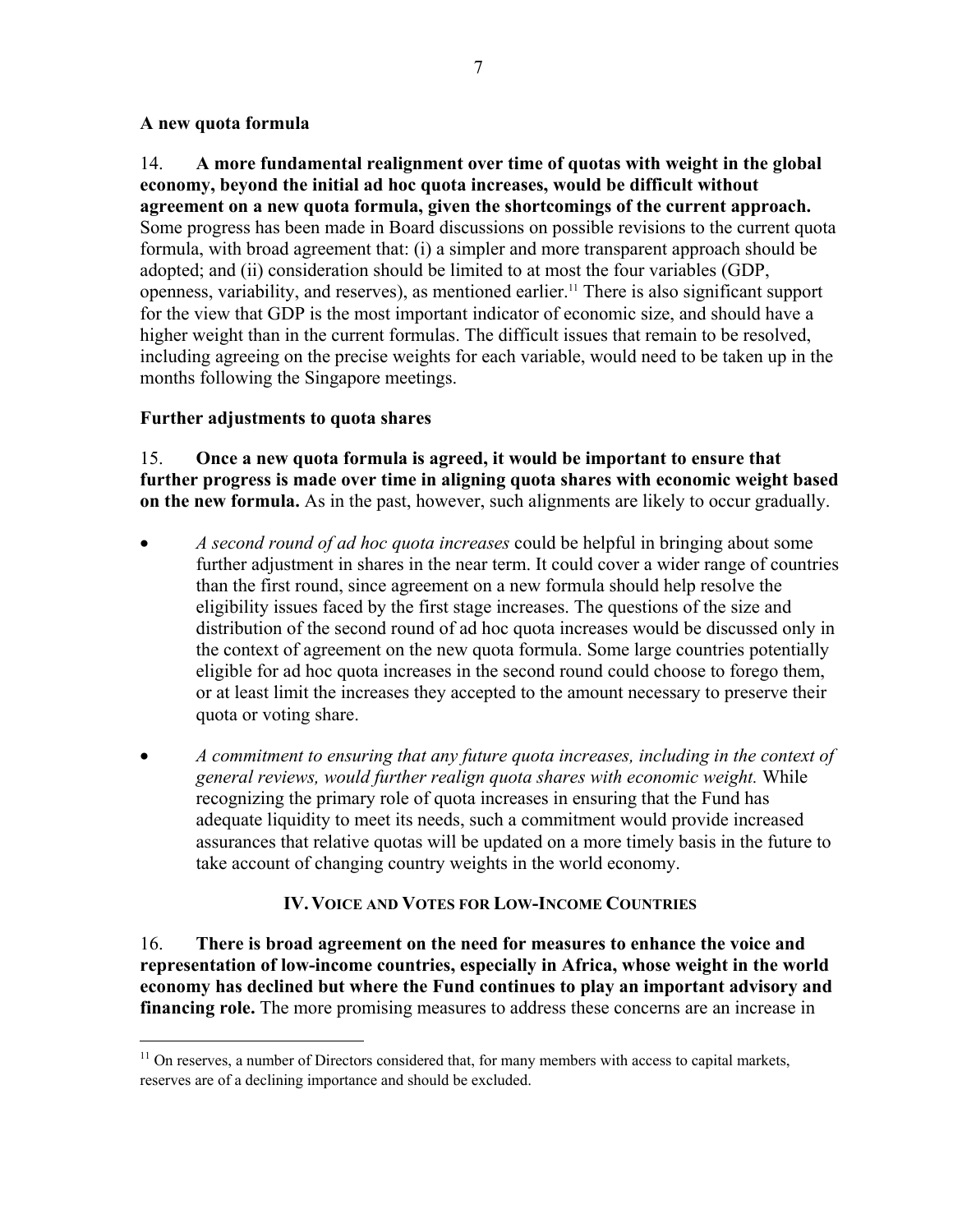### **A new quota formula**

 $\overline{a}$ 

14. **A more fundamental realignment over time of quotas with weight in the global economy, beyond the initial ad hoc quota increases, would be difficult without agreement on a new quota formula, given the shortcomings of the current approach.** Some progress has been made in Board discussions on possible revisions to the current quota formula, with broad agreement that: (i) a simpler and more transparent approach should be adopted; and (ii) consideration should be limited to at most the four variables (GDP, openness, variability, and reserves), as mentioned earlier.11 There is also significant support for the view that GDP is the most important indicator of economic size, and should have a higher weight than in the current formulas. The difficult issues that remain to be resolved, including agreeing on the precise weights for each variable, would need to be taken up in the months following the Singapore meetings.

## **Further adjustments to quota shares**

15. **Once a new quota formula is agreed, it would be important to ensure that further progress is made over time in aligning quota shares with economic weight based on the new formula.** As in the past, however, such alignments are likely to occur gradually.

- *A second round of ad hoc quota increases* could be helpful in bringing about some further adjustment in shares in the near term. It could cover a wider range of countries than the first round, since agreement on a new formula should help resolve the eligibility issues faced by the first stage increases. The questions of the size and distribution of the second round of ad hoc quota increases would be discussed only in the context of agreement on the new quota formula. Some large countries potentially eligible for ad hoc quota increases in the second round could choose to forego them, or at least limit the increases they accepted to the amount necessary to preserve their quota or voting share.
- *A commitment to ensuring that any future quota increases, including in the context of general reviews, would further realign quota shares with economic weight.* While recognizing the primary role of quota increases in ensuring that the Fund has adequate liquidity to meet its needs, such a commitment would provide increased assurances that relative quotas will be updated on a more timely basis in the future to take account of changing country weights in the world economy.

## **IV.VOICE AND VOTES FOR LOW-INCOME COUNTRIES**

16. **There is broad agreement on the need for measures to enhance the voice and representation of low-income countries, especially in Africa, whose weight in the world economy has declined but where the Fund continues to play an important advisory and financing role.** The more promising measures to address these concerns are an increase in

 $11$  On reserves, a number of Directors considered that, for many members with access to capital markets, reserves are of a declining importance and should be excluded.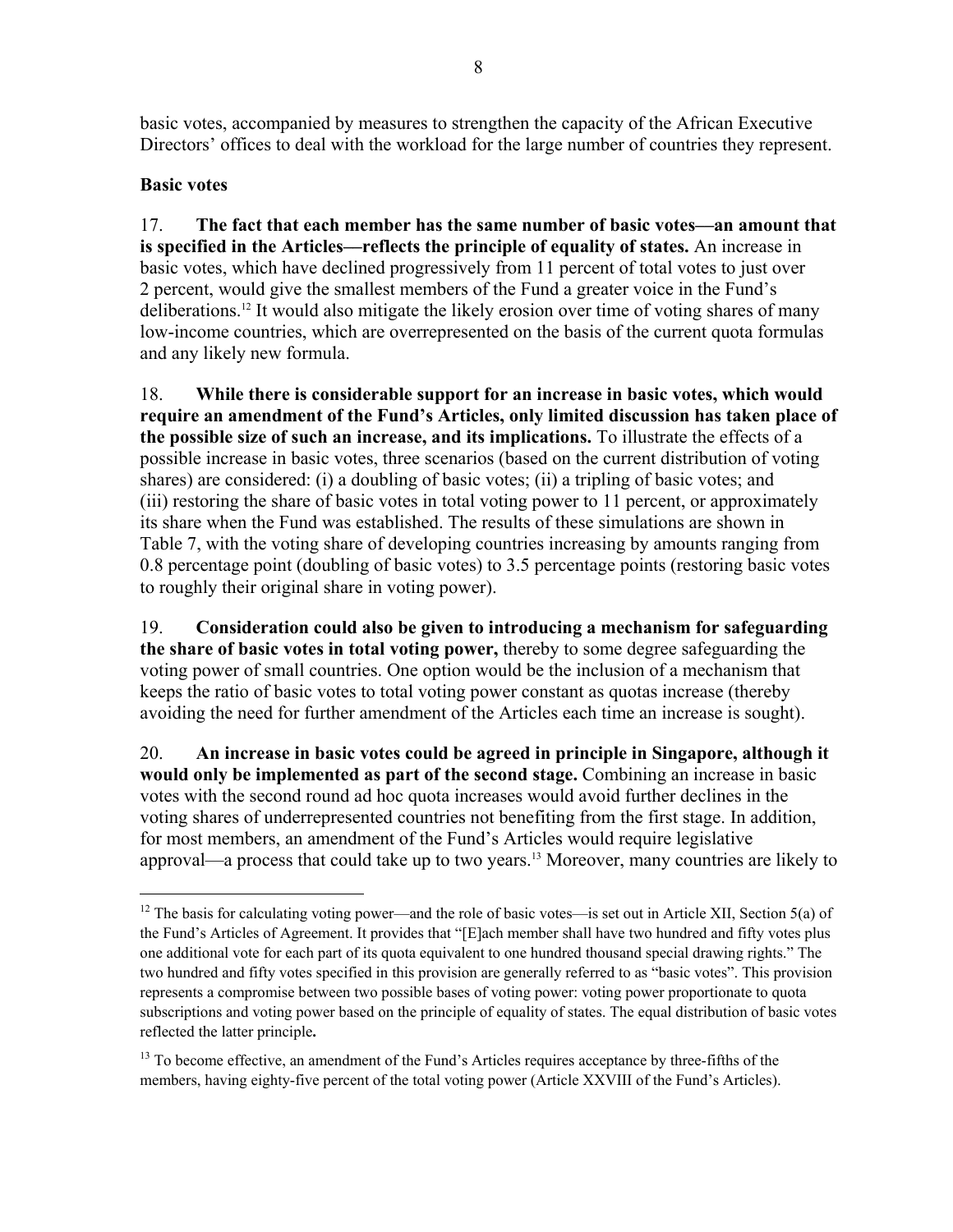basic votes, accompanied by measures to strengthen the capacity of the African Executive Directors' offices to deal with the workload for the large number of countries they represent.

## **Basic votes**

 $\overline{a}$ 

17. **The fact that each member has the same number of basic votes––an amount that is specified in the Articles––reflects the principle of equality of states.** An increase in basic votes, which have declined progressively from 11 percent of total votes to just over 2 percent, would give the smallest members of the Fund a greater voice in the Fund's deliberations.12 It would also mitigate the likely erosion over time of voting shares of many low-income countries, which are overrepresented on the basis of the current quota formulas and any likely new formula.

18. **While there is considerable support for an increase in basic votes, which would require an amendment of the Fund's Articles, only limited discussion has taken place of the possible size of such an increase, and its implications.** To illustrate the effects of a possible increase in basic votes, three scenarios (based on the current distribution of voting shares) are considered: (i) a doubling of basic votes; (ii) a tripling of basic votes; and (iii) restoring the share of basic votes in total voting power to 11 percent, or approximately its share when the Fund was established. The results of these simulations are shown in Table 7, with the voting share of developing countries increasing by amounts ranging from 0.8 percentage point (doubling of basic votes) to 3.5 percentage points (restoring basic votes to roughly their original share in voting power).

19. **Consideration could also be given to introducing a mechanism for safeguarding the share of basic votes in total voting power,** thereby to some degree safeguarding the voting power of small countries. One option would be the inclusion of a mechanism that keeps the ratio of basic votes to total voting power constant as quotas increase (thereby avoiding the need for further amendment of the Articles each time an increase is sought).

20. **An increase in basic votes could be agreed in principle in Singapore, although it would only be implemented as part of the second stage.** Combining an increase in basic votes with the second round ad hoc quota increases would avoid further declines in the voting shares of underrepresented countries not benefiting from the first stage. In addition, for most members, an amendment of the Fund's Articles would require legislative approval—a process that could take up to two years.<sup>13</sup> Moreover, many countries are likely to

<sup>&</sup>lt;sup>12</sup> The basis for calculating voting power—and the role of basic votes—is set out in Article XII, Section 5(a) of the Fund's Articles of Agreement. It provides that "[E]ach member shall have two hundred and fifty votes plus one additional vote for each part of its quota equivalent to one hundred thousand special drawing rights." The two hundred and fifty votes specified in this provision are generally referred to as "basic votes". This provision represents a compromise between two possible bases of voting power: voting power proportionate to quota subscriptions and voting power based on the principle of equality of states. The equal distribution of basic votes reflected the latter principle**.** 

<sup>&</sup>lt;sup>13</sup> To become effective, an amendment of the Fund's Articles requires acceptance by three-fifths of the members, having eighty-five percent of the total voting power (Article XXVIII of the Fund's Articles).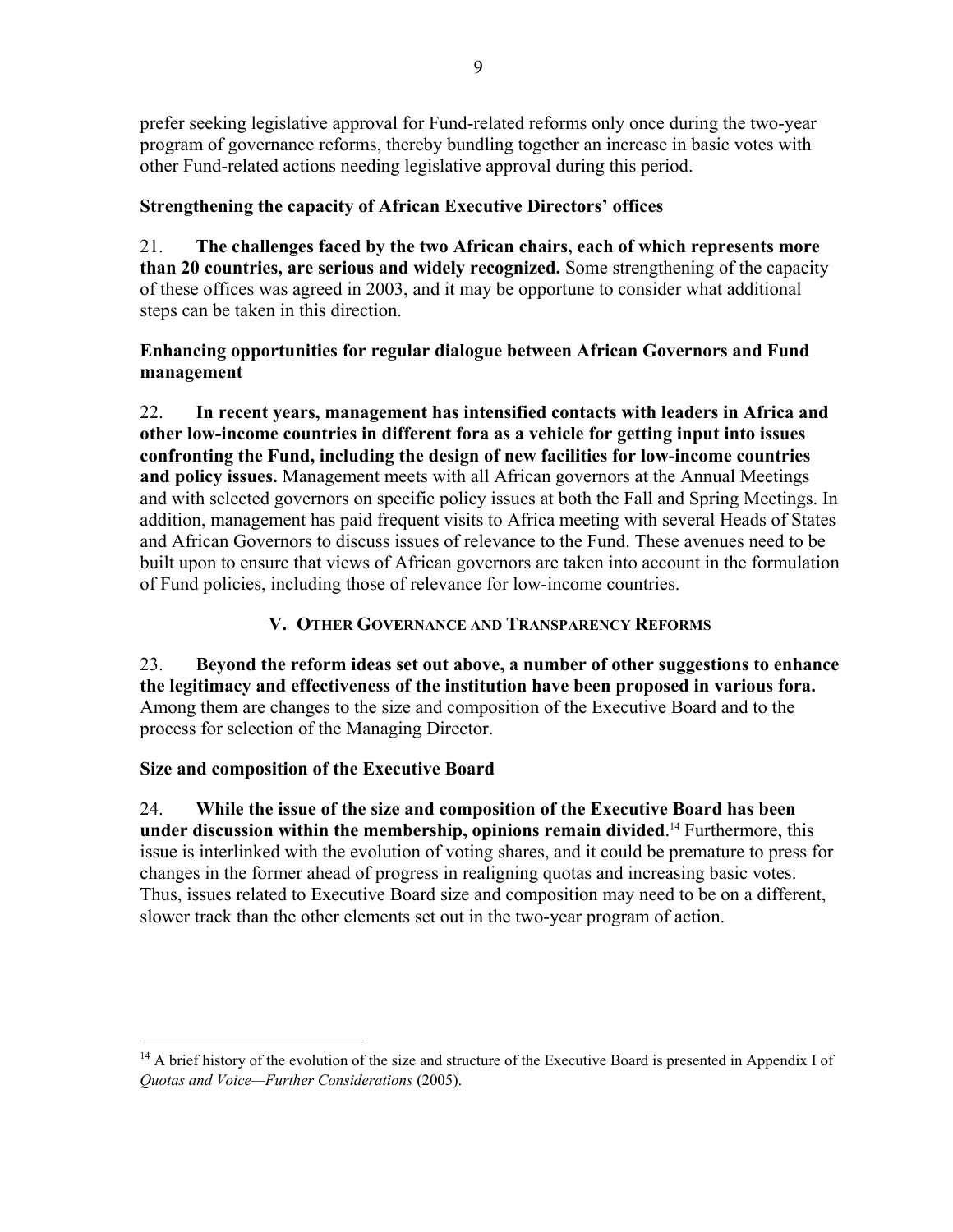prefer seeking legislative approval for Fund-related reforms only once during the two-year program of governance reforms, thereby bundling together an increase in basic votes with other Fund-related actions needing legislative approval during this period.

# **Strengthening the capacity of African Executive Directors' offices**

21. **The challenges faced by the two African chairs, each of which represents more than 20 countries, are serious and widely recognized.** Some strengthening of the capacity of these offices was agreed in 2003, and it may be opportune to consider what additional steps can be taken in this direction.

## **Enhancing opportunities for regular dialogue between African Governors and Fund management**

22. **In recent years, management has intensified contacts with leaders in Africa and other low-income countries in different fora as a vehicle for getting input into issues confronting the Fund, including the design of new facilities for low-income countries and policy issues.** Management meets with all African governors at the Annual Meetings and with selected governors on specific policy issues at both the Fall and Spring Meetings. In addition, management has paid frequent visits to Africa meeting with several Heads of States and African Governors to discuss issues of relevance to the Fund. These avenues need to be built upon to ensure that views of African governors are taken into account in the formulation of Fund policies, including those of relevance for low-income countries.

# **V. OTHER GOVERNANCE AND TRANSPARENCY REFORMS**

# 23. **Beyond the reform ideas set out above, a number of other suggestions to enhance the legitimacy and effectiveness of the institution have been proposed in various fora.**  Among them are changes to the size and composition of the Executive Board and to the process for selection of the Managing Director.

# **Size and composition of the Executive Board**

 $\overline{a}$ 

24. **While the issue of the size and composition of the Executive Board has been under discussion within the membership, opinions remain divided**. 14 Furthermore, this issue is interlinked with the evolution of voting shares, and it could be premature to press for changes in the former ahead of progress in realigning quotas and increasing basic votes. Thus, issues related to Executive Board size and composition may need to be on a different, slower track than the other elements set out in the two-year program of action.

<sup>&</sup>lt;sup>14</sup> A brief history of the evolution of the size and structure of the Executive Board is presented in Appendix I of *Quotas and Voice—Further Considerations* (2005).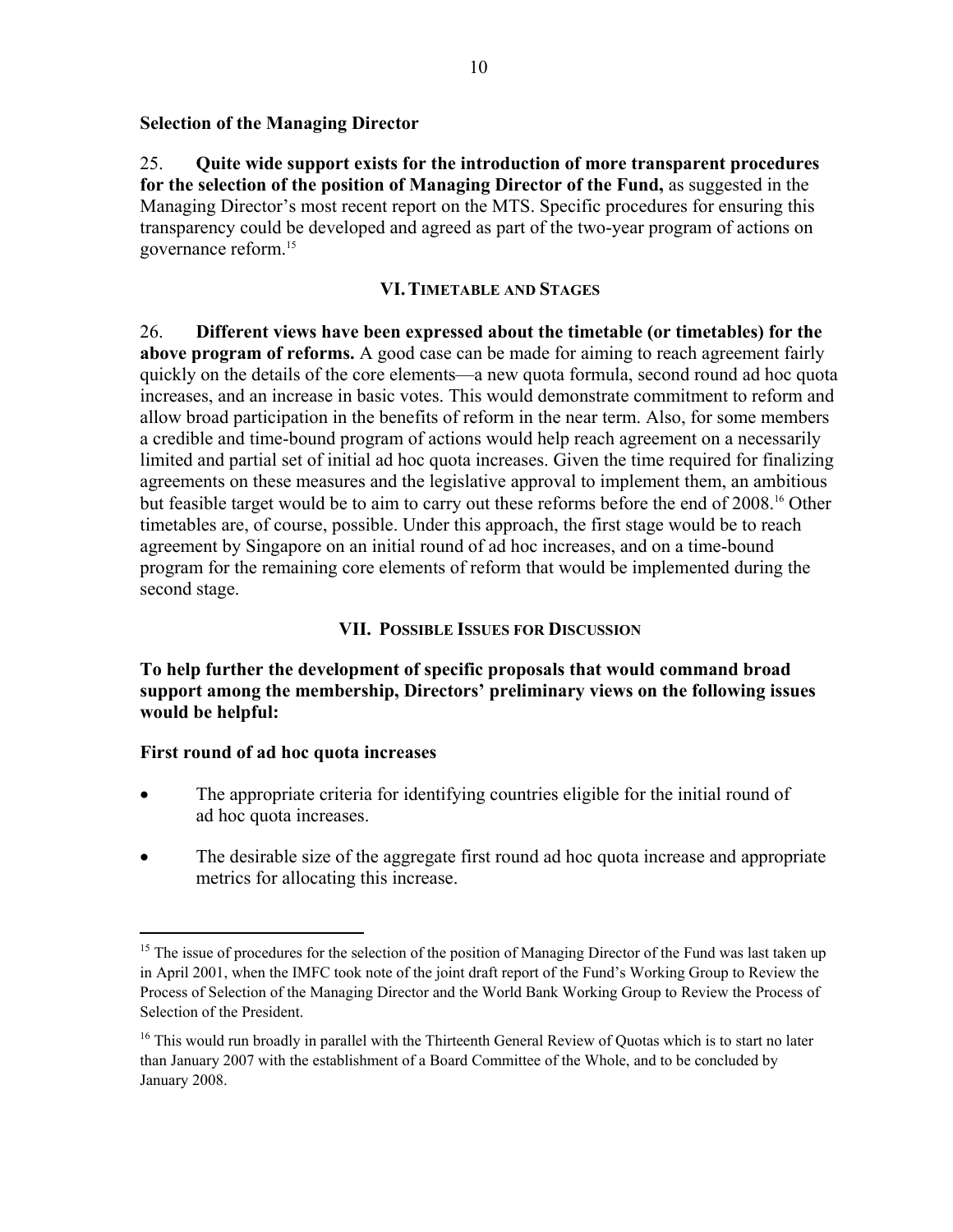### **Selection of the Managing Director**

25. **Quite wide support exists for the introduction of more transparent procedures for the selection of the position of Managing Director of the Fund,** as suggested in the Managing Director's most recent report on the MTS. Specific procedures for ensuring this transparency could be developed and agreed as part of the two-year program of actions on governance reform.15

#### **VI.TIMETABLE AND STAGES**

26. **Different views have been expressed about the timetable (or timetables) for the above program of reforms.** A good case can be made for aiming to reach agreement fairly quickly on the details of the core elements—a new quota formula, second round ad hoc quota increases, and an increase in basic votes. This would demonstrate commitment to reform and allow broad participation in the benefits of reform in the near term. Also, for some members a credible and time-bound program of actions would help reach agreement on a necessarily limited and partial set of initial ad hoc quota increases. Given the time required for finalizing agreements on these measures and the legislative approval to implement them, an ambitious but feasible target would be to aim to carry out these reforms before the end of 2008.<sup>16</sup> Other timetables are, of course, possible. Under this approach, the first stage would be to reach agreement by Singapore on an initial round of ad hoc increases, and on a time-bound program for the remaining core elements of reform that would be implemented during the second stage.

## **VII. POSSIBLE ISSUES FOR DISCUSSION**

**To help further the development of specific proposals that would command broad support among the membership, Directors' preliminary views on the following issues would be helpful:** 

### **First round of ad hoc quota increases**

- The appropriate criteria for identifying countries eligible for the initial round of ad hoc quota increases.
- The desirable size of the aggregate first round ad hoc quota increase and appropriate metrics for allocating this increase.

<sup>&</sup>lt;sup>15</sup> The issue of procedures for the selection of the position of Managing Director of the Fund was last taken up in April 2001, when the IMFC took note of the joint draft report of the Fund's Working Group to Review the Process of Selection of the Managing Director and the World Bank Working Group to Review the Process of Selection of the President.

<sup>&</sup>lt;sup>16</sup> This would run broadly in parallel with the Thirteenth General Review of Quotas which is to start no later than January 2007 with the establishment of a Board Committee of the Whole, and to be concluded by January 2008.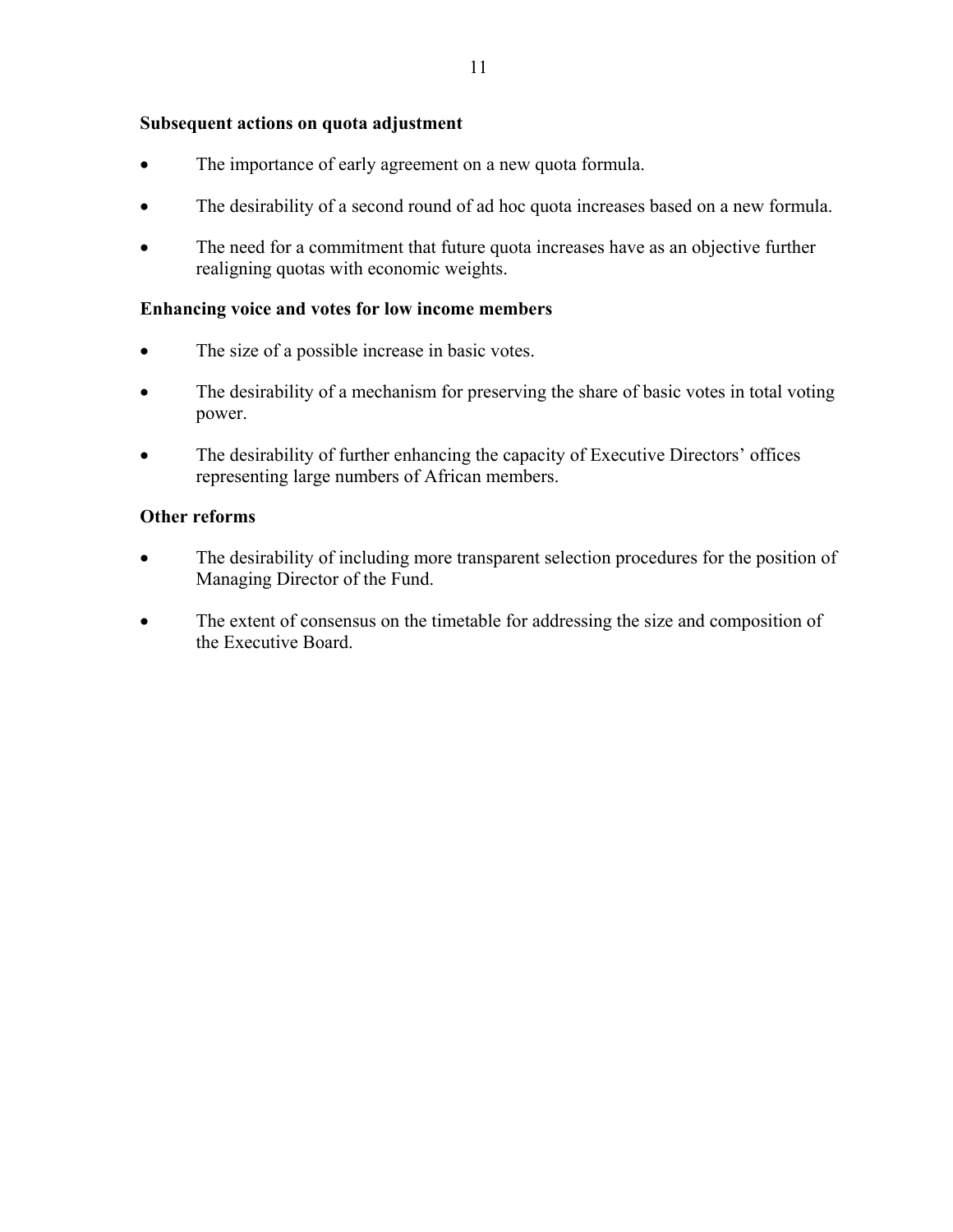### **Subsequent actions on quota adjustment**

- The importance of early agreement on a new quota formula.
- The desirability of a second round of ad hoc quota increases based on a new formula.
- The need for a commitment that future quota increases have as an objective further realigning quotas with economic weights.

### **Enhancing voice and votes for low income members**

- The size of a possible increase in basic votes.
- The desirability of a mechanism for preserving the share of basic votes in total voting power.
- The desirability of further enhancing the capacity of Executive Directors' offices representing large numbers of African members.

### **Other reforms**

- The desirability of including more transparent selection procedures for the position of Managing Director of the Fund.
- The extent of consensus on the timetable for addressing the size and composition of the Executive Board.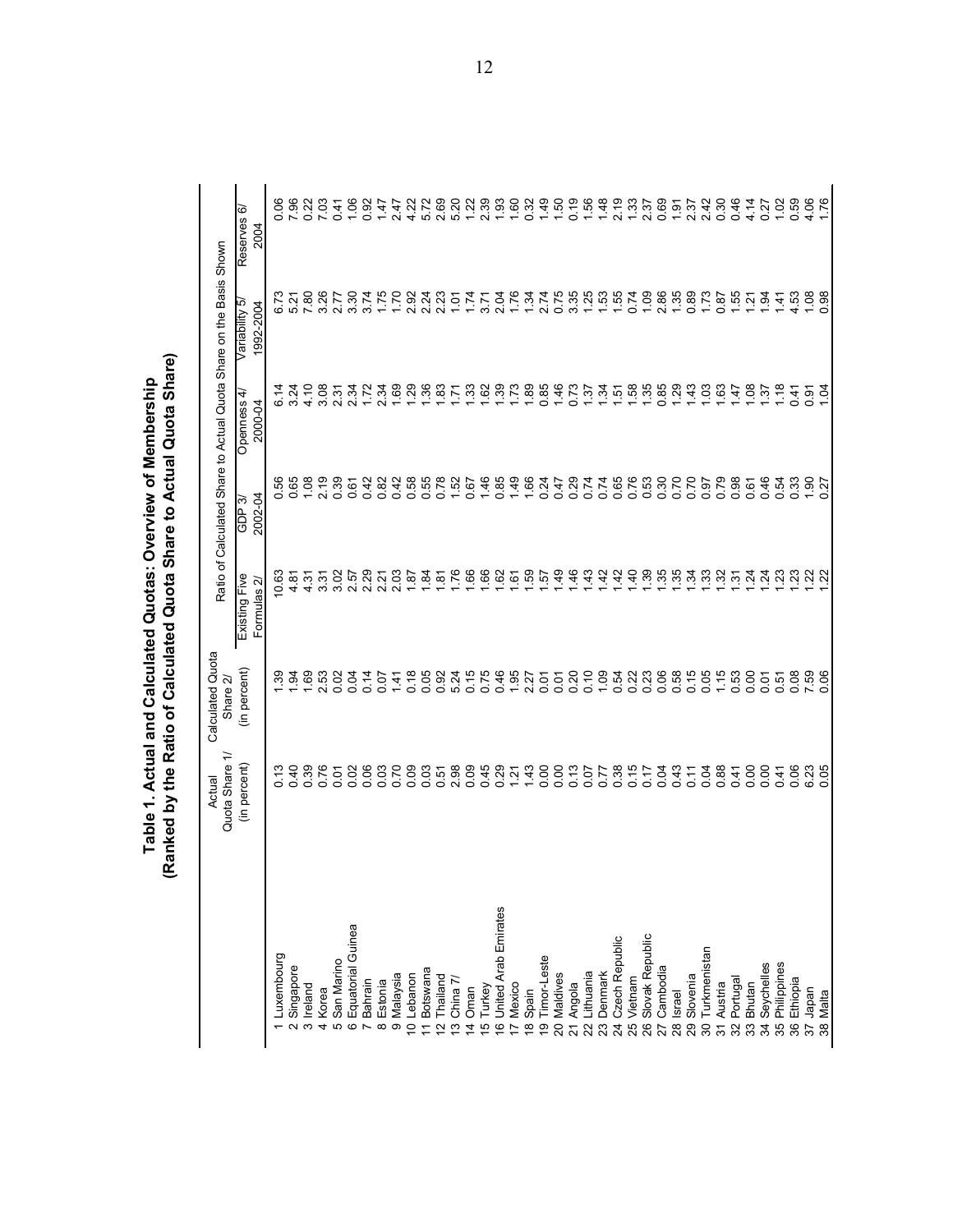|                                 | ↽<br>Quota Share<br>Actual                                        | Calculated Quota<br>Share 2/ |                                                              |                                | Ratio of Calculated Share to Actual Quota Share on the Basis Shown |                             |                          |
|---------------------------------|-------------------------------------------------------------------|------------------------------|--------------------------------------------------------------|--------------------------------|--------------------------------------------------------------------|-----------------------------|--------------------------|
|                                 | (in percent)                                                      | (in percent)                 | Existing Five<br>Formulas 2                                  | 2002-04<br>ကဲ<br><b>GDP</b>    | Openness 4<br>2000-04                                              | Variability 5,<br>1992-2004 | Reserves 6/<br>2004      |
| 1 Luxembourg                    |                                                                   |                              | یخ<br>$\circ$                                                |                                |                                                                    |                             | 8                        |
| Singapore                       | 23862<br>23862                                                    | $\frac{1}{3}$ $\frac{3}{21}$ | ò<br>4                                                       | 0.56<br>0.65                   |                                                                    | 6.73<br>5.21                | 8                        |
| 3 Ireland                       |                                                                   | 1.69                         | ć,                                                           | 1,08                           | 4.10                                                               | 7.80                        |                          |
| 4 Korea                         |                                                                   | 2.53                         | ᡖ<br>4.0                                                     | 2.19                           | 3.08                                                               | 3.26                        | 0.23<br>7.03             |
| 5 San Marino                    |                                                                   | 0.02                         | 3.02                                                         | 0.39                           | 2.31                                                               | 2.77                        | 0.41                     |
| 6 Equatorial Guinea             |                                                                   | 0.14                         | 2.57                                                         | 0.61                           | 2.34                                                               | 3.30                        | 1.06                     |
| Bahrain                         | $\begin{array}{c} 0.8 \\ 0.8 \\ 0.0 \\ 0.0 \\ 0.0 \\ \end{array}$ |                              | 29<br>$\mathbf{N}$                                           | 0.42                           | 1.72                                                               | 3.74                        | 0.92                     |
| Estonia<br>$\infty$             |                                                                   | 0.07                         | 2.21                                                         | 0.82                           | 2.34                                                               | 1.75                        | 1.47                     |
| 9 Malaysia                      |                                                                   | 1.41                         | 2.03<br>1.87                                                 | 0.42                           | $1.69$<br>$1.29$                                                   | 1.70                        | 2.47                     |
| 10 Lebanon                      |                                                                   | 0.18                         |                                                              |                                |                                                                    | 2.92                        | 4.22                     |
| Botswana<br>$\equiv$            |                                                                   |                              | $\frac{1}{2} \times 26$                                      |                                | $7.88$ $7.7$                                                       | 2.24                        | 5.78<br>5.89<br>5.90     |
| Thailand<br>2                   |                                                                   |                              |                                                              |                                |                                                                    | 2.23                        |                          |
| China 7/<br>$\overline{c}$      | 0558045<br>002000                                                 |                              |                                                              | $8880$<br>$-0$<br>$-0$<br>$-0$ |                                                                    | 1.01                        |                          |
| 4 Oman                          |                                                                   |                              | $\begin{array}{c}\n 86 \\  - 16\n \end{array}$               |                                | 1.33                                                               | 1.74                        | $1.22$<br>2.39           |
| 5 Turkey                        |                                                                   |                              |                                                              | 1.46                           |                                                                    | 3.71                        |                          |
| 6 United Arab Emirates          | $0.23$<br>$-1.43$                                                 |                              | $\frac{25}{25}$ $\frac{25}{25}$ $\frac{25}{25}$              | 0.85                           | 1.73                                                               | 2.04<br>1.76                | $1.80$<br>$- 0.32$       |
| 7 Mexico                        |                                                                   |                              |                                                              | 1.49                           |                                                                    |                             |                          |
| 18 Spain                        |                                                                   |                              |                                                              |                                | $1.89$<br>0.85                                                     | 1.34                        |                          |
| 19 Timor-Leste                  |                                                                   | 0.07                         |                                                              | $1884$<br>0.247                |                                                                    | 2.74<br>0.75                | 1.50                     |
| 20 Maldives                     |                                                                   |                              | 1.49                                                         |                                | 1.46                                                               |                             |                          |
| 21 Angola                       | $0.0788$<br>0.00000                                               |                              | 46                                                           |                                | 0.73                                                               | $3.88887$<br>$7.7687$       | 0.19                     |
| Lithuania<br>$\overline{22}$    |                                                                   |                              | 1.43                                                         |                                |                                                                    |                             | $1.56$<br>$1.48$         |
| Denmark<br>$\overline{23}$      |                                                                   |                              | $\frac{42}{5}$                                               |                                |                                                                    |                             |                          |
| 24 Czech Republic               |                                                                   |                              | 42                                                           |                                |                                                                    |                             | 2.19                     |
| 25 Vietnam                      |                                                                   |                              | $\ddot{a}$                                                   |                                |                                                                    |                             | $1.33$<br>$2.37$         |
| 26 Slovak Republic              | 0.17                                                              |                              | $\begin{array}{c}\n 35 \\  -75 \\  \hline\n 0\n \end{array}$ |                                |                                                                    | 1.09                        |                          |
| 27 Cambodia                     | 0.43                                                              |                              |                                                              |                                |                                                                    | 2.86                        | $0.69$<br>1.91           |
| 28 Israel                       |                                                                   |                              |                                                              |                                |                                                                    | 1.35                        |                          |
| 29 Slovenia                     |                                                                   |                              |                                                              | 0.70                           | $\frac{43}{100}$                                                   | $0.80$<br>0.78              | ន អូ<br>សូម និ<br>សូម និ |
| Turkmenistan<br>$\overline{30}$ |                                                                   |                              |                                                              | 0.79                           |                                                                    |                             |                          |
| 31 Austria                      | $-28870$                                                          |                              | <u>ងនួងខ្នង់ខ្នង</u> ់                                       |                                |                                                                    |                             |                          |
| 32 Portugal                     |                                                                   | 0.53                         |                                                              | 0.61                           | $\frac{147}{5}$                                                    | $1.55$<br>$1.21$            | 0.46                     |
| 33 Bhutan                       |                                                                   | 0.00                         |                                                              |                                |                                                                    |                             | 4.14                     |
| Seychelles<br>र्द्र             | 0.41                                                              | 0.01                         |                                                              | 0.46                           | $\overline{37}$                                                    | $\frac{3}{5}$               | 0.27                     |
| 35 Philippines                  |                                                                   | 0.51                         |                                                              | 0.54<br>0.33                   | $\frac{8}{1}$                                                      | $\vec{A}$                   | 1.02                     |
| 36 Ethiopia                     | 0.06                                                              | 0.08                         |                                                              |                                | 0.41                                                               | 4.53                        | 0.59                     |
| 37 Japan                        | 6.23<br>0.05                                                      | 7.59<br>0.06                 | ಜ್ಗ ಜ                                                        | $1.90$<br>$0.27$               | 0.31<br>1.04                                                       | $\frac{8}{0.98}$            | 4.06                     |
| 38 Malta                        |                                                                   |                              |                                                              |                                |                                                                    |                             |                          |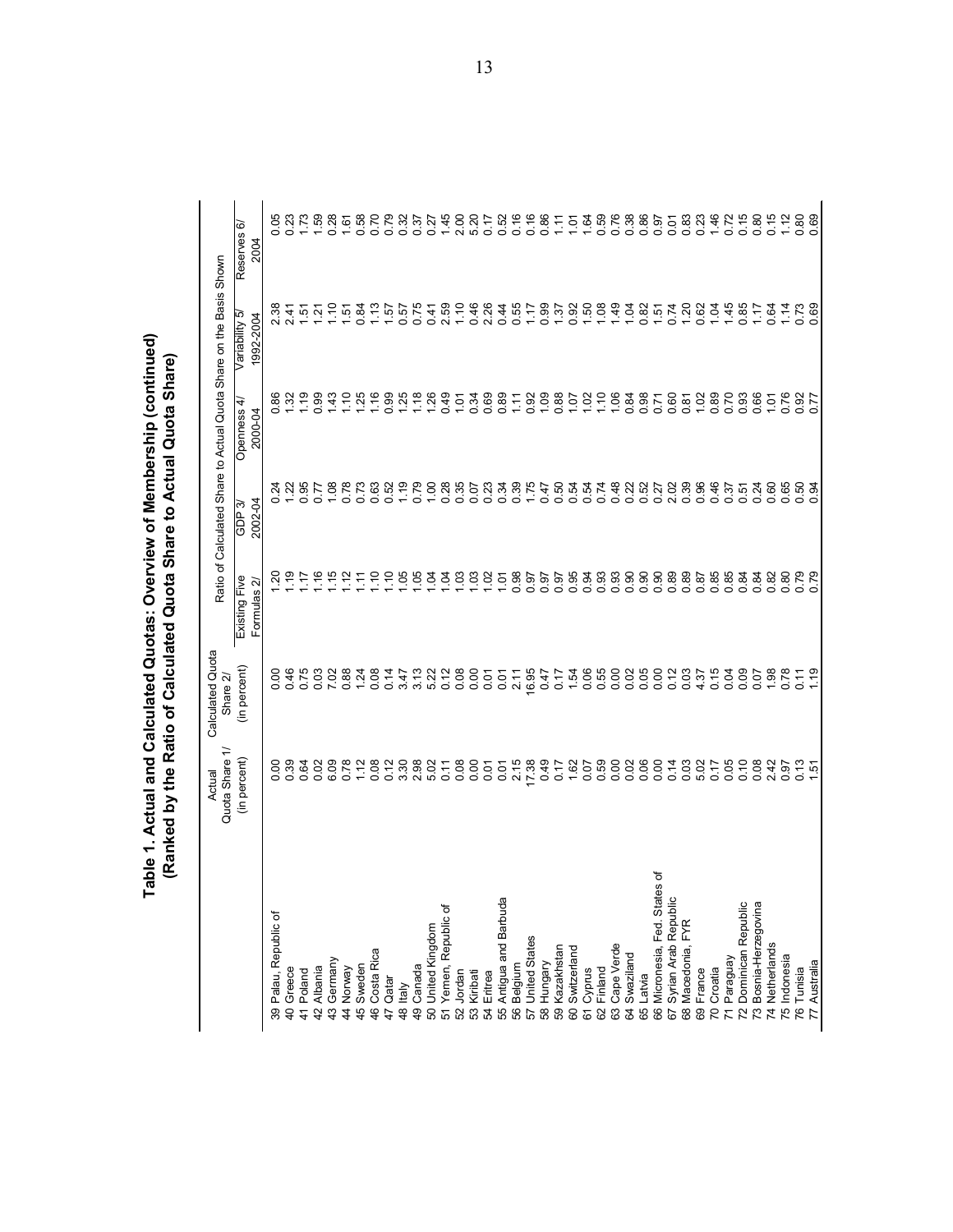| Table 1. Actual and Calculated Quotas: Overview of Membership (continue <sup>r</sup> | (Ranked by the Ratio of Calculated Quota Share to Actual Quota Share) |
|--------------------------------------------------------------------------------------|-----------------------------------------------------------------------|
|                                                                                      |                                                                       |

|                                         | $\overline{ }$<br>Quota Share<br>Actual                                                 | Calculated Quota<br>Share 2/ | Ratio of                     |                                                                   | Calculated Share to Actual Quota | Share on the Basis                             | Shown                        |
|-----------------------------------------|-----------------------------------------------------------------------------------------|------------------------------|------------------------------|-------------------------------------------------------------------|----------------------------------|------------------------------------------------|------------------------------|
|                                         | (in percent)                                                                            | (in percent)                 | Existing Five<br>Formulas 2/ | 2002-04<br>ကိ<br><b>BE</b>                                        | 4<br>Openness<br>2000-04         | ယ်<br>1992-2004<br>Variability                 | Reserves 6/<br>2004          |
| 39 Palau, Republic of                   |                                                                                         |                              |                              | Ň                                                                 |                                  |                                                | 8                            |
| 40 Greece                               |                                                                                         | 846<br>0.46                  |                              |                                                                   | 88 YY                            | $\tilde{A}$                                    | 8.23<br>0.23                 |
| 41 Poland                               |                                                                                         | 0.75                         | Ļ.                           | 95                                                                | 1.19                             |                                                |                              |
| Albania<br>42                           | 8 2 3 8<br>8 9 9 9                                                                      | 0.03                         | .16                          | 0.77                                                              | 0.99                             | <b>Findant</b><br>Findante                     | 1.59                         |
| Germany<br>$\frac{3}{4}$                |                                                                                         | 7.02                         | 1.15                         |                                                                   | 1.43                             |                                                | 0.28                         |
| Norway<br>$\frac{4}{4}$                 | 8.08<br>0.72                                                                            | 0.88                         |                              | $1.08$<br>0.78                                                    | 1.10                             |                                                | 1.61                         |
| Sweden<br>45                            |                                                                                         | 1.24                         | Ξ                            | 0.73                                                              | 1.25                             |                                                | 0.58                         |
| Costa Rica<br>46                        |                                                                                         | 0.08                         | $\frac{1}{10}$               | 0.63                                                              | $1.16$<br>0.99                   |                                                | 0.70                         |
| Qatar<br>47                             |                                                                                         | 0.14                         | $\frac{1}{10}$               | 0.52                                                              |                                  |                                                | 0.79                         |
| 48 Italy                                |                                                                                         | $3.47$<br>$3.13$             |                              | 1.19                                                              | 1.25                             |                                                |                              |
| 49 Canada                               | $0.788077$                                                                              |                              |                              | 0.79                                                              | $7.88$<br>$7.49$                 |                                                | 32<br>35745<br>0027          |
| 50 United Kingdom                       |                                                                                         | 5.22<br>0.12                 |                              |                                                                   |                                  |                                                |                              |
| 51 Yemen, Republic of                   |                                                                                         |                              | 8888888                      | $\begin{array}{c} 0.88 \\ 0.289 \\ 0.010 \\ 0.000 \\ \end{array}$ |                                  | $0.47$<br>$0.76$<br>$0.76$<br>$0.76$<br>$0.76$ |                              |
| 52 Jordan                               | 0.08                                                                                    | 0.08                         |                              |                                                                   | 1.01                             |                                                | 2.00                         |
| 53 Kiribati                             | 0.00                                                                                    | 0.00                         |                              |                                                                   | 0.34<br>0.69                     |                                                | 5.20<br>0.17                 |
| 54 Eritrea                              | 0.01                                                                                    | 0.01                         |                              |                                                                   |                                  |                                                |                              |
| 55 Antigua and Barbuda<br>56 Belgium    | 0.01                                                                                    | $0.07$<br>2.11               |                              | $0.38$<br>$0.75$<br>$1.75$                                        | 0.89                             |                                                |                              |
|                                         |                                                                                         |                              |                              |                                                                   |                                  |                                                |                              |
| 57 United States                        | $7, 789$<br>$7, 799$<br>$0.49$<br>$0.17$                                                | 16.95                        |                              |                                                                   |                                  | $001001$<br>$402001$<br>$40200$                | 52<br>0.5 0.8<br>0.0 0.0     |
| 58 Hungary                              |                                                                                         | $0.47$<br>0.17               |                              |                                                                   |                                  |                                                |                              |
| Kazakhstan<br>$\overline{59}$           |                                                                                         |                              |                              |                                                                   |                                  |                                                | $7.548888558$                |
| Switzerland<br>80                       | 1.62                                                                                    | 1.54                         |                              |                                                                   |                                  |                                                |                              |
| Cyprus<br>67                            | 0.07                                                                                    | 0.06                         |                              |                                                                   |                                  | $0.508$<br>$1.508$                             |                              |
| Finland<br>63<br>62                     |                                                                                         | 0.55<br>0.00                 |                              |                                                                   | 1.06                             |                                                |                              |
| Cape Verde<br>Swaziland<br>64           |                                                                                         |                              |                              |                                                                   |                                  |                                                |                              |
| Latvia<br>65                            |                                                                                         |                              |                              |                                                                   |                                  |                                                |                              |
| 'ত<br>89<br>Micronesia, Fed. Stat<br>89 | $\begin{array}{c} 0.8 & 0.8 & 0.8 \\ 0.8 & 0.8 & 0.8 \\ 0.8 & 0.8 & 0.8 \\ \end{array}$ |                              |                              |                                                                   | 885<br>886                       |                                                |                              |
| Syrian Arab Republic<br>57              |                                                                                         | 0.12                         |                              |                                                                   |                                  |                                                |                              |
| Macedonia, FYR<br>68                    |                                                                                         | 0.03                         |                              |                                                                   | 0.87                             |                                                |                              |
| France<br>69                            |                                                                                         | 4.37                         |                              | 0.96<br>0.46                                                      |                                  |                                                | 0.23                         |
| Croatia<br>$\overline{2}$               |                                                                                         | 0.15                         | 85<br>88888888<br>0000000    |                                                                   | $1.02$<br>0.89                   |                                                | $1,80$<br>$-0.75$<br>$-0.80$ |
| Paraguay<br>$\overline{z}$              | 85<br>0.08<br>0.0                                                                       | 2000<br>2000                 |                              | 35<br>0.54<br>0.0                                                 | 2386<br>238                      |                                                |                              |
| Dominican Republic<br>72                |                                                                                         |                              |                              |                                                                   |                                  |                                                |                              |
| 73 Bosnia-Herzegovina                   |                                                                                         |                              |                              |                                                                   |                                  |                                                |                              |
| 74 Netherlands                          | 2.42                                                                                    | 1.98                         |                              | G.<br>$\circ$                                                     | 1.01                             | 0.64                                           | 0.15                         |
| 75 Indonesia                            | 0.97                                                                                    |                              |                              | 0.65                                                              | 0.76                             | 1.14                                           | 1.12                         |
| 76 Tunisia                              | $0.13$<br>1.51                                                                          | 0.11                         | 0.79                         | rg 3                                                              | 0.77                             | 0.73                                           | 0.80<br>0.69                 |
| Australia<br>$\overline{7}$             |                                                                                         | 1.19                         |                              | $\circ$                                                           |                                  |                                                |                              |

13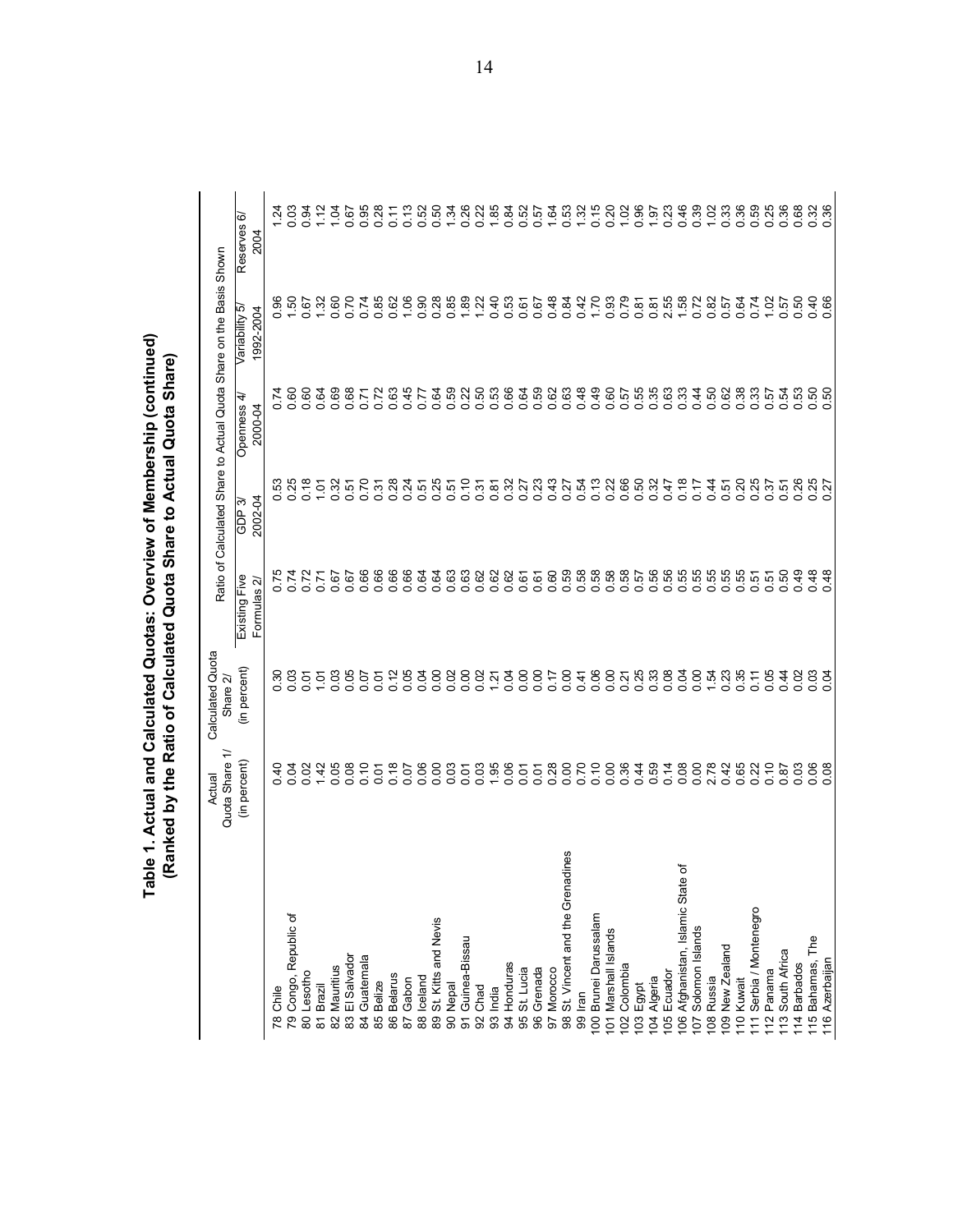|                                                                    | ≓<br>Quota Share<br>Actual | Calculated Quota<br>Share 2/                                              | Ratio of                   |                            | Calculated Share to Actual Quota Share on the Basis Shown |                                                                                                                                                                                  |                                        |
|--------------------------------------------------------------------|----------------------------|---------------------------------------------------------------------------|----------------------------|----------------------------|-----------------------------------------------------------|----------------------------------------------------------------------------------------------------------------------------------------------------------------------------------|----------------------------------------|
|                                                                    | (in percent)               | (in percent)                                                              | Formulas 2<br>Existing Fiv | 2002-04<br>ო<br><b>dOD</b> | 4<br>Openness<br>2000-04                                  | ம<br>1992-2004<br>Variability                                                                                                                                                    | စဲ<br>Reserves<br>2004                 |
| 78 Chile                                                           | ុ<br>។                     | င္က                                                                       |                            |                            | r.                                                        | 8                                                                                                                                                                                | $\frac{54}{3}$                         |
| 79 Congo, Republic of                                              | 0.0<br>4<br>0.0            | ន ខ<br>o ខ                                                                | o o                        | 53<br>25<br>o o            | 8<br>o o                                                  | င္ၿ                                                                                                                                                                              | 0.03                                   |
| 80 Lesotho                                                         |                            | 0.01                                                                      |                            | $\frac{8}{10}$             |                                                           | 0.67                                                                                                                                                                             | 0.94                                   |
| 81 Brazil                                                          | $0.02$<br>1.42             | 101                                                                       | $0.72$<br>$0.71$           | 0.18                       | 0.64                                                      | 1.32                                                                                                                                                                             | 1.12                                   |
| Mauritius<br>$\overline{8}$                                        | 0.05                       | 0.03                                                                      |                            |                            |                                                           | 0.60                                                                                                                                                                             | 1.04                                   |
| El Salvador<br>83                                                  | 0.08                       | 0.05                                                                      |                            |                            | 88<br>8572<br>860<br>860                                  | 0.70                                                                                                                                                                             | 0.67                                   |
| Guatemala<br>$\mathfrak{A}$                                        | 0.10                       | 0.07                                                                      |                            |                            |                                                           |                                                                                                                                                                                  | 0.95                                   |
| <b>Belize</b><br>85                                                | 0.01                       | 0.01                                                                      |                            |                            |                                                           | 0.88<br>0.88<br>0.0                                                                                                                                                              | 0.28                                   |
| Belarus<br>$86$                                                    | 0.18                       | 0.12                                                                      |                            |                            |                                                           |                                                                                                                                                                                  | 0.11                                   |
| Gabon<br>$\overline{8}$                                            | 0.06                       | 0.04<br>0.04                                                              |                            |                            | 0.45<br>0.77                                              | $1.06$<br>0.90                                                                                                                                                                   | 0.13                                   |
| Iceland<br>88                                                      |                            |                                                                           |                            |                            |                                                           |                                                                                                                                                                                  | 0.52                                   |
| St. Kitts and Nevis<br>$_{89}$                                     | 8.83                       | 0.00                                                                      |                            |                            |                                                           |                                                                                                                                                                                  |                                        |
| <b>Nepal</b><br>8                                                  |                            | 0.02                                                                      |                            |                            |                                                           | 8888846664846<br>888846664846                                                                                                                                                    | $0.7888888$<br>$0.788888$<br>$0.78888$ |
| Guinea-Bissau<br>$\overline{5}$                                    |                            |                                                                           |                            |                            |                                                           |                                                                                                                                                                                  |                                        |
| Chad<br>92                                                         | 0.038                      | ទី ទី <u>អ</u> ៊ី                                                         |                            |                            |                                                           |                                                                                                                                                                                  |                                        |
| India<br>93                                                        |                            |                                                                           |                            |                            |                                                           |                                                                                                                                                                                  |                                        |
| 94 Honduras                                                        | 0.01                       |                                                                           |                            |                            |                                                           |                                                                                                                                                                                  |                                        |
| St. Lucia<br>95                                                    |                            |                                                                           |                            |                            |                                                           |                                                                                                                                                                                  |                                        |
| Grenada<br>96                                                      | $0.07$<br>$0.28$           | 3885<br>3885                                                              |                            |                            |                                                           |                                                                                                                                                                                  |                                        |
| Morocco<br>50                                                      |                            |                                                                           |                            |                            |                                                           |                                                                                                                                                                                  |                                        |
| adines<br>St. Vincent and the Gren<br>98                           | 0.70                       |                                                                           |                            |                            |                                                           |                                                                                                                                                                                  | 0.5<br>0.4<br>0.5<br>0.7<br>0.7        |
| lran<br>99                                                         |                            |                                                                           |                            |                            |                                                           |                                                                                                                                                                                  |                                        |
| Brunei Darussalam<br>$\overline{0}$                                | 0.10                       | $\begin{array}{c} 0.4888 \\ 0.00000 \\ 0.00000 \\ 0.00000 \\ \end{array}$ |                            |                            |                                                           |                                                                                                                                                                                  | $0.20280$<br>0.2020<br>0.7020          |
| 101 Marshall Islands                                               |                            |                                                                           |                            |                            |                                                           |                                                                                                                                                                                  |                                        |
| Colombia<br>$\overline{2}$                                         | 0.0648                     |                                                                           |                            |                            |                                                           | 0<br>0<br>0<br>0<br>0<br>0<br>0<br>0<br>0<br>0<br>0<br>0<br>0<br>0<br>2<br>0<br>0<br>2<br>0<br>0<br>0<br>0<br>0<br>0<br>0<br>0<br>0<br>0<br>0<br>0<br>0<br>0<br>0<br>0<br>0<br>0 |                                        |
| Egypt<br>$\overline{0}3$                                           |                            |                                                                           |                            |                            |                                                           |                                                                                                                                                                                  |                                        |
| Algeria<br>$\overline{6}$                                          |                            |                                                                           |                            |                            |                                                           |                                                                                                                                                                                  |                                        |
| Ecuador<br>$\overline{5}$                                          |                            |                                                                           |                            |                            |                                                           |                                                                                                                                                                                  | 0.23                                   |
| ৳<br>$\pmb{\omega}$<br>Afghanistan, Islamic Stat<br>$\overline{0}$ | $\frac{480}{1000}$         | 838<br>000                                                                |                            |                            |                                                           |                                                                                                                                                                                  | 0.46                                   |
| Solomon Islands<br>$\overline{5}$                                  |                            |                                                                           |                            |                            |                                                           | 0.72                                                                                                                                                                             | 0.39                                   |
| Russia<br>$\overline{08}$                                          | 2.78                       | $1.54$<br>0.23                                                            |                            |                            |                                                           | 0.82<br>0.57                                                                                                                                                                     | $1.02$<br>0.33                         |
| 09 New Zealand                                                     | 0.42                       |                                                                           |                            |                            |                                                           |                                                                                                                                                                                  |                                        |
| 10 Kuwait                                                          | 0.65                       | 0.35                                                                      |                            |                            |                                                           | 0.64                                                                                                                                                                             | 888888                                 |
| Serbia / Montenegro<br>$\overline{1}$                              | 0.22                       | 0.11                                                                      |                            |                            |                                                           | 0.74                                                                                                                                                                             |                                        |
| Panama<br>12                                                       | $0.10$<br>$0.87$           | 0.05                                                                      |                            |                            |                                                           |                                                                                                                                                                                  |                                        |
| South Africa<br>$\frac{13}{2}$                                     |                            | 0.44                                                                      |                            |                            | <b>ភូ</b> ភូ ឆូ<br>០ ០ ០                                  | $1.56$<br>$0.57$                                                                                                                                                                 |                                        |
| 14 Barbados                                                        | 0.03                       | 0.02                                                                      | 0.49                       |                            |                                                           |                                                                                                                                                                                  |                                        |
| eq<br>H<br>15 Bahamas,                                             | 0.08                       | 0.03                                                                      | $0.48$<br>0.48             | 85<br>27<br>$\circ$        | នុ នុ<br>ဝ ဝ                                              | 0.40                                                                                                                                                                             | 0.32                                   |
| 16 Azerbaijan                                                      |                            |                                                                           |                            |                            |                                                           |                                                                                                                                                                                  |                                        |

14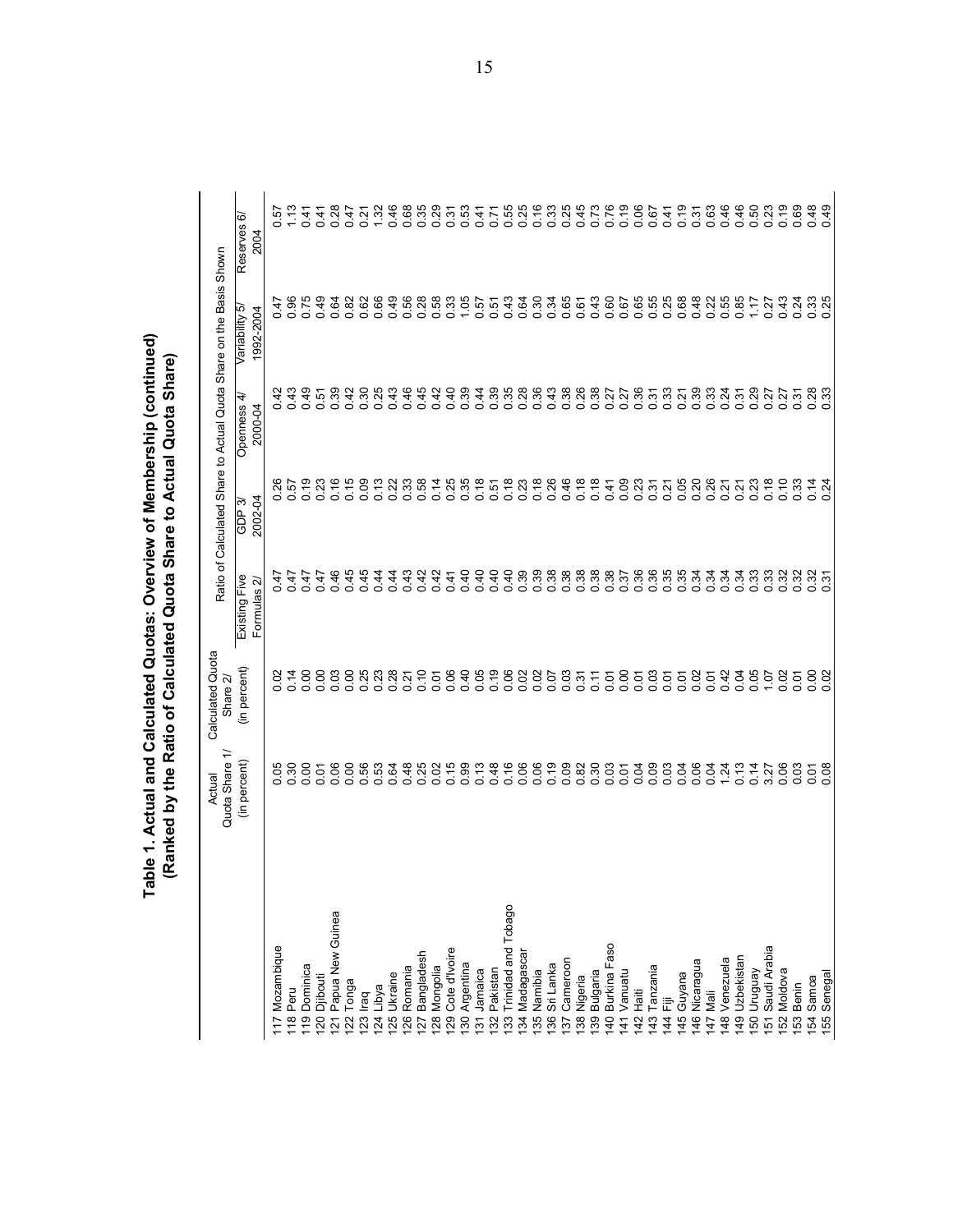| e 1. Actual and Calculated Quotas: Overview of Membership (continued' | Ranked by the Ratio of Calculated Quota Share to Actual Quota Share |
|-----------------------------------------------------------------------|---------------------------------------------------------------------|
|                                                                       |                                                                     |
|                                                                       |                                                                     |
|                                                                       |                                                                     |
|                                                                       |                                                                     |
|                                                                       |                                                                     |
|                                                                       |                                                                     |
|                                                                       |                                                                     |
|                                                                       |                                                                     |
|                                                                       |                                                                     |
|                                                                       |                                                                     |
|                                                                       |                                                                     |
|                                                                       |                                                                     |
|                                                                       |                                                                     |
|                                                                       |                                                                     |
|                                                                       |                                                                     |
|                                                                       |                                                                     |
|                                                                       |                                                                     |

|                                          | ≓<br>Quota Share<br>Actual                                                                                | Calculated Quota<br>Share 2/                                                                                            | Ratio of                                                                                                                                                                                                                                                                                                                                                                                                                            |                       | Calculated Share to Actual Quota Share on the Basis Shown |                          |                        |
|------------------------------------------|-----------------------------------------------------------------------------------------------------------|-------------------------------------------------------------------------------------------------------------------------|-------------------------------------------------------------------------------------------------------------------------------------------------------------------------------------------------------------------------------------------------------------------------------------------------------------------------------------------------------------------------------------------------------------------------------------|-----------------------|-----------------------------------------------------------|--------------------------|------------------------|
|                                          | (in percent)                                                                                              | (in percent)                                                                                                            | Ñ<br>Existing Fiv<br>Formulas                                                                                                                                                                                                                                                                                                                                                                                                       | 2002-04<br>ကဲ<br>GDP. | 4<br>Openness<br>2000-04                                  | 1992-2004<br>Variability | စဲ<br>Reserves<br>2004 |
| 17 Mozambique                            |                                                                                                           | 8                                                                                                                       | 47                                                                                                                                                                                                                                                                                                                                                                                                                                  |                       | ५                                                         | $\frac{4}{7}$            | ίó                     |
| 18 Peru                                  |                                                                                                           |                                                                                                                         | 0.47<br>0.47                                                                                                                                                                                                                                                                                                                                                                                                                        |                       | 43<br>o o                                                 | 96                       | 1.13                   |
| Dominica<br>$\frac{1}{9}$                |                                                                                                           |                                                                                                                         | $0.47$<br>0.47                                                                                                                                                                                                                                                                                                                                                                                                                      |                       |                                                           | $0.75$<br>$0.49$         | 0.41                   |
| Djibouti<br>$\overline{20}$              |                                                                                                           |                                                                                                                         |                                                                                                                                                                                                                                                                                                                                                                                                                                     |                       |                                                           |                          |                        |
| Papua New Guinea<br>$\overline{2}$       | 888588<br>888588                                                                                          | 0.00<br>0.00                                                                                                            | 0.46                                                                                                                                                                                                                                                                                                                                                                                                                                |                       |                                                           |                          | $0.28$<br>0.47         |
| Tonga<br>$\overline{2}$                  |                                                                                                           |                                                                                                                         | 0.45                                                                                                                                                                                                                                                                                                                                                                                                                                |                       |                                                           |                          |                        |
| lraq<br>23                               | $\begin{array}{c} 6 & 0 & 4 & 0 & 0 & 0 \\ 0 & 0 & 0 & 0 & 0 & 0 \\ 0 & 0 & 0 & 0 & 0 & 0 \\ \end{array}$ | 838870<br>00000                                                                                                         | $0.944$<br>$4.44$                                                                                                                                                                                                                                                                                                                                                                                                                   |                       |                                                           |                          |                        |
| Libya<br>$\overline{24}$                 |                                                                                                           |                                                                                                                         |                                                                                                                                                                                                                                                                                                                                                                                                                                     |                       |                                                           |                          |                        |
| Ukraine<br>25<br>26                      |                                                                                                           |                                                                                                                         |                                                                                                                                                                                                                                                                                                                                                                                                                                     |                       |                                                           |                          |                        |
| Romania<br>27                            |                                                                                                           |                                                                                                                         | $0.43$<br>0.42                                                                                                                                                                                                                                                                                                                                                                                                                      |                       |                                                           |                          |                        |
| Bangladesh<br>Mongolia<br> 28            |                                                                                                           |                                                                                                                         |                                                                                                                                                                                                                                                                                                                                                                                                                                     |                       |                                                           |                          |                        |
| Cote d'Ivoire<br>29                      |                                                                                                           | 0.06                                                                                                                    |                                                                                                                                                                                                                                                                                                                                                                                                                                     |                       |                                                           |                          |                        |
| Argentina<br>30                          |                                                                                                           |                                                                                                                         | $\begin{array}{cccccccccc} \mathbf{Q} & \mathbf{F} & \mathbf{G} & \mathbf{G} & \mathbf{G} & \mathbf{G} & \mathbf{G} & \mathbf{G} & \mathbf{G} & \mathbf{G} & \mathbf{G} & \mathbf{G} & \mathbf{G} & \mathbf{G} & \mathbf{G} & \mathbf{G} & \mathbf{G} & \mathbf{G} & \mathbf{G} & \mathbf{G} & \mathbf{G} & \mathbf{G} & \mathbf{G} & \mathbf{G} & \mathbf{G} & \mathbf{G} & \mathbf{G} & \mathbf{G} & \mathbf{G} & \mathbf{G} & \$ |                       |                                                           |                          |                        |
| Jamaica<br>$\overline{3}$                |                                                                                                           |                                                                                                                         |                                                                                                                                                                                                                                                                                                                                                                                                                                     |                       |                                                           |                          |                        |
| Pakistan<br>32                           |                                                                                                           |                                                                                                                         |                                                                                                                                                                                                                                                                                                                                                                                                                                     |                       |                                                           |                          |                        |
| <b>Trinidad and Tobago</b><br>33         |                                                                                                           |                                                                                                                         |                                                                                                                                                                                                                                                                                                                                                                                                                                     |                       |                                                           |                          |                        |
| Madagascar<br>34                         |                                                                                                           |                                                                                                                         |                                                                                                                                                                                                                                                                                                                                                                                                                                     |                       |                                                           |                          |                        |
| Namibia<br>35                            |                                                                                                           | $\begin{array}{cccccc} 4 & 8 & 8 & 8 & 8 & 8 & 5 \\ 6 & 6 & 6 & 6 & 6 & 6 & 6 \\ 0 & 0 & 0 & 0 & 0 & 0 & 0 \end{array}$ |                                                                                                                                                                                                                                                                                                                                                                                                                                     |                       |                                                           |                          |                        |
| Sri Lanka<br>36                          |                                                                                                           |                                                                                                                         |                                                                                                                                                                                                                                                                                                                                                                                                                                     |                       |                                                           |                          |                        |
| Cameroon<br>57                           |                                                                                                           | 0.5750                                                                                                                  |                                                                                                                                                                                                                                                                                                                                                                                                                                     |                       |                                                           |                          |                        |
| Nigeria<br>$38\,$                        |                                                                                                           |                                                                                                                         |                                                                                                                                                                                                                                                                                                                                                                                                                                     |                       |                                                           |                          |                        |
| 40 Burkina Faso<br><b>Bulgaria</b><br>39 |                                                                                                           |                                                                                                                         |                                                                                                                                                                                                                                                                                                                                                                                                                                     |                       |                                                           |                          |                        |
| Vanuatu<br>$\frac{4}{1}$                 |                                                                                                           |                                                                                                                         |                                                                                                                                                                                                                                                                                                                                                                                                                                     |                       |                                                           |                          |                        |
| Haiti<br>$\frac{1}{42}$                  |                                                                                                           |                                                                                                                         |                                                                                                                                                                                                                                                                                                                                                                                                                                     |                       |                                                           |                          |                        |
| Tanzania<br>$\overline{43}$              |                                                                                                           | 0.07                                                                                                                    |                                                                                                                                                                                                                                                                                                                                                                                                                                     |                       |                                                           |                          |                        |
| Ē<br>$\frac{4}{4}$                       |                                                                                                           |                                                                                                                         |                                                                                                                                                                                                                                                                                                                                                                                                                                     |                       |                                                           |                          |                        |
| Guyana<br>45                             |                                                                                                           |                                                                                                                         |                                                                                                                                                                                                                                                                                                                                                                                                                                     |                       |                                                           |                          |                        |
| Nicaragua<br>46                          |                                                                                                           |                                                                                                                         |                                                                                                                                                                                                                                                                                                                                                                                                                                     |                       |                                                           |                          |                        |
| Mali<br>$\overline{47}$                  |                                                                                                           |                                                                                                                         |                                                                                                                                                                                                                                                                                                                                                                                                                                     |                       |                                                           |                          |                        |
| Venezuela<br>$ 48\rangle$                |                                                                                                           |                                                                                                                         |                                                                                                                                                                                                                                                                                                                                                                                                                                     |                       |                                                           |                          |                        |
| Uzbekistan<br> 49                        |                                                                                                           | 0.05                                                                                                                    |                                                                                                                                                                                                                                                                                                                                                                                                                                     |                       |                                                           |                          |                        |
| Venbnun<br>150 <sub>1</sub>              | 0.14                                                                                                      |                                                                                                                         |                                                                                                                                                                                                                                                                                                                                                                                                                                     |                       |                                                           |                          |                        |
| Saudi Arabia<br>$\overline{5}$           | 27<br><u>ന്</u>                                                                                           | 1.07                                                                                                                    |                                                                                                                                                                                                                                                                                                                                                                                                                                     |                       |                                                           | $0.27$<br>0.43           |                        |
| 52 Moldova                               | 0.06                                                                                                      | 0.02                                                                                                                    |                                                                                                                                                                                                                                                                                                                                                                                                                                     |                       |                                                           |                          |                        |
| 53 Benin                                 | 0.03                                                                                                      | 0.01                                                                                                                    |                                                                                                                                                                                                                                                                                                                                                                                                                                     | 0.33                  |                                                           |                          |                        |
| 54 Samoa                                 | 0.01                                                                                                      | 0.02                                                                                                                    |                                                                                                                                                                                                                                                                                                                                                                                                                                     | $0.14$<br>0.24        |                                                           | 0.31<br>0.0.25           |                        |
| 55 Senegal                               |                                                                                                           |                                                                                                                         |                                                                                                                                                                                                                                                                                                                                                                                                                                     |                       |                                                           |                          |                        |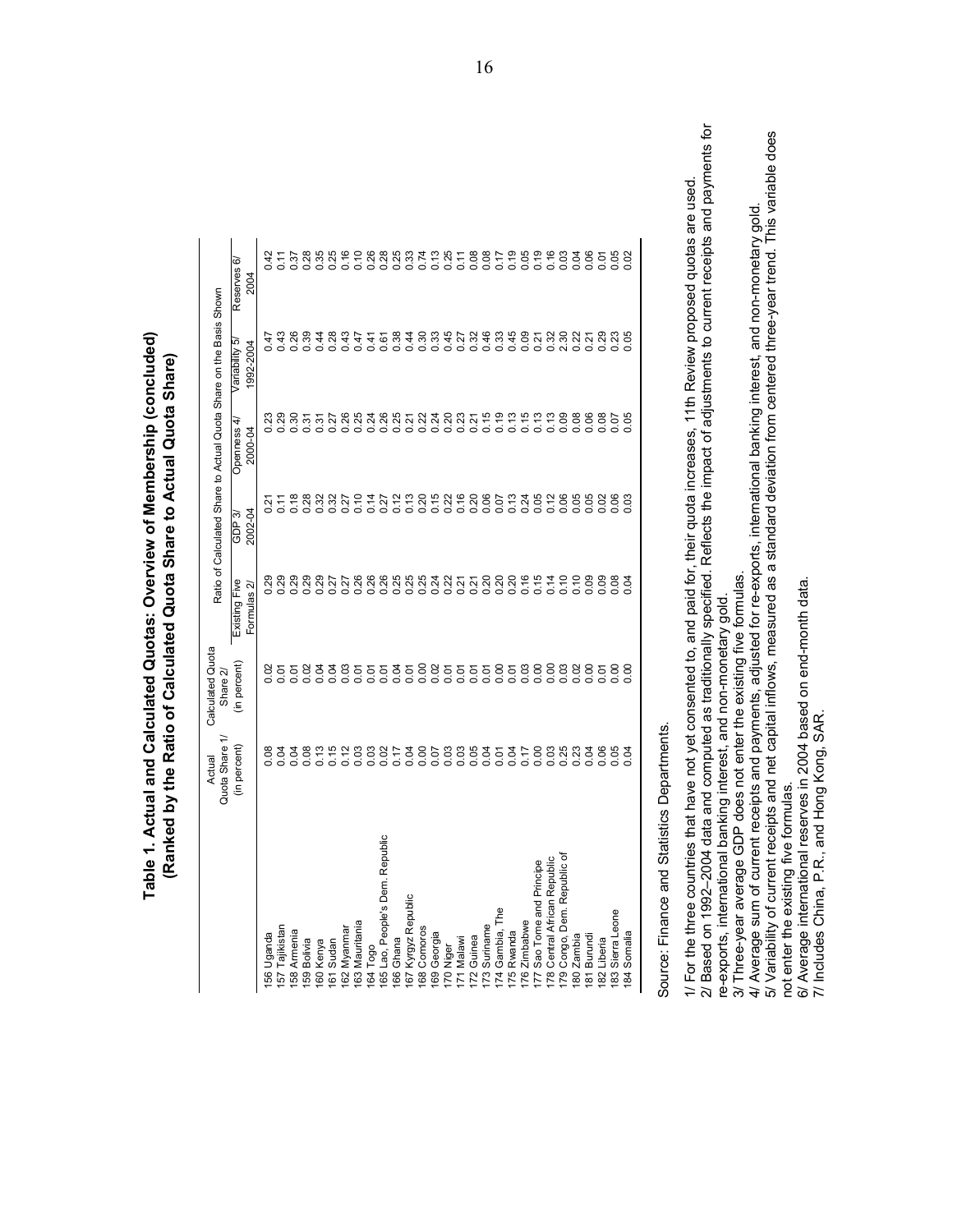| <b>Fable 1. Actual and Calculated Quotas: Overview of Membership (concluded)</b> | (Ranked by the Ratio of Calculated Quota Share to Actual Quota Share) |
|----------------------------------------------------------------------------------|-----------------------------------------------------------------------|
|                                                                                  |                                                                       |
|                                                                                  |                                                                       |

|                                                                                                                                                                    | Quota Share 1/<br>Actual | Calculated Quota<br>Share 2/                                                                    |                                        |                   |                                 | Ratio of Calculated Share to Actual Quota Share on the Basis Shown |                              |                                                                         |
|--------------------------------------------------------------------------------------------------------------------------------------------------------------------|--------------------------|-------------------------------------------------------------------------------------------------|----------------------------------------|-------------------|---------------------------------|--------------------------------------------------------------------|------------------------------|-------------------------------------------------------------------------|
|                                                                                                                                                                    | (in percent)             | (in percent)                                                                                    | Existing Five<br>Formulas <sub>2</sub> | 2002-04<br>GDP 3) | Openness<br>2000-04             | Variability 5<br>1992-2004                                         | ⊙<br>Reserves<br><b>2004</b> |                                                                         |
| 156 Uganda                                                                                                                                                         | 0.08                     | S                                                                                               | 0.29                                   | Ņ                 | ಜ                               | 47                                                                 | ५                            |                                                                         |
| 157 Tajikistan                                                                                                                                                     | 0.04                     | 0.07                                                                                            | 0.29                                   |                   |                                 | 0.43                                                               | $\frac{1}{\sqrt{2}}$         |                                                                         |
| 158 Armenia                                                                                                                                                        | 0.04                     | 0.07                                                                                            | 0.29                                   | 0.18              | 0.30                            | 0.26                                                               | 0.37                         |                                                                         |
| 159 Bolivia                                                                                                                                                        | 0.08                     | 0.02                                                                                            | 0.29                                   | 0.28              | 0.31                            | 0.39                                                               | 0.28                         |                                                                         |
| 160 Kenya                                                                                                                                                          | 0.13                     | 0.04                                                                                            | 0.29                                   | 0.32              | 0.37                            | 0.44                                                               | 0.35                         |                                                                         |
| Sudan<br>61                                                                                                                                                        | 0.15                     | 0.04                                                                                            | 0.27                                   | 0.32              |                                 | 0.28                                                               | 0.25                         |                                                                         |
| Mauritania<br>Myanmar<br><b>I62</b><br><b>I63</b>                                                                                                                  | 0.03<br>0.12             | 0.01                                                                                            | 0.26<br>0.27                           | 0.10<br>0.27      |                                 | 0.43<br>0.47                                                       | 0.10                         |                                                                         |
| 64 Togo                                                                                                                                                            | 0.03                     | 0.01                                                                                            | 0.26                                   |                   | 88488584885556<br>0000000000000 | 0.41                                                               | 0.26                         |                                                                         |
| 65 Lao, People's Dem. Republic                                                                                                                                     |                          | 0.01                                                                                            | 0.26                                   | $0.14$<br>$0.27$  |                                 | 0.61                                                               | 0.28                         |                                                                         |
| 66 Ghana                                                                                                                                                           | 0.17                     |                                                                                                 | 0.25                                   | 0.12              |                                 | 0.38                                                               | 0.25                         |                                                                         |
| Kyrgyz Republic<br>167                                                                                                                                             | 0.00                     |                                                                                                 | 0.25<br>0.25                           | $0.13$<br>$0.20$  |                                 | 0.30                                                               | 0.33<br>0.74                 |                                                                         |
| Comoros<br>168                                                                                                                                                     |                          |                                                                                                 |                                        |                   |                                 |                                                                    |                              |                                                                         |
| 69 Georgia                                                                                                                                                         |                          |                                                                                                 | 0.24                                   |                   |                                 | $0.33$<br>0.45                                                     |                              |                                                                         |
| 71 Malawi<br>70 Niger                                                                                                                                              | 5<br>0.00<br>0.00        | 358855558<br>358855558                                                                          | 0.21                                   | 5386<br>000       |                                 | 0.27                                                               | $0.35$<br>0.05               |                                                                         |
| Guinea<br>172                                                                                                                                                      |                          |                                                                                                 | 0.21                                   |                   |                                 | 0.32                                                               | 0.08                         |                                                                         |
| Suriname<br>73                                                                                                                                                     | 0.04                     |                                                                                                 | 0.20                                   | 0.20<br>0.06      |                                 | 0.46                                                               | 0.08                         |                                                                         |
| Gambia, The<br>$\overline{1}$                                                                                                                                      | 0.01                     |                                                                                                 | 0.20                                   | 0.07              |                                 | 0.33                                                               | 0.17                         |                                                                         |
| 75 Rwanda                                                                                                                                                          | 0.17                     |                                                                                                 | 0.20                                   | 0.13              | $0.13$<br>$0.15$                | 0.45                                                               | 0.19                         |                                                                         |
| Sao Tome and Principe<br>176 Zimbabwe                                                                                                                              | 0.00                     |                                                                                                 | 0.16<br>0.15                           | 0.24              | 0.13                            | 0.09                                                               | 0.05                         |                                                                         |
| 78 Central African Republic                                                                                                                                        | 0.03                     | 5888                                                                                            | 0.14                                   | 0.12              | 0.13                            | 0.32                                                               | 0.19                         |                                                                         |
| 79 Congo, Dem. Republic of                                                                                                                                         | 0.25                     | 0.03                                                                                            | 0.10                                   | 0.06              | 0.09                            | 2.30                                                               | 0.03                         |                                                                         |
| 180 Zambia                                                                                                                                                         | 0.23                     |                                                                                                 | 0.10                                   | 0.05              | 0.08                            | 0.22                                                               | 0.04                         |                                                                         |
| 181 Burundi                                                                                                                                                        | 0.04                     | 0.02                                                                                            | 0.09                                   | 0.05              | 0.06                            | 0.21                                                               | 0.06                         |                                                                         |
| Liberia<br>182                                                                                                                                                     | 0.06                     | 0.01                                                                                            | 0.09                                   | 0.88              | 0.08                            | 0.29                                                               | 0.01                         |                                                                         |
| Sierra Leone<br>183                                                                                                                                                | 0.05                     |                                                                                                 | 0.08                                   |                   | 0.07                            | 23                                                                 | 0.05                         |                                                                         |
| Somalia                                                                                                                                                            | 0.04                     |                                                                                                 | 0.04                                   |                   | 80                              |                                                                    | 0.02                         |                                                                         |
| Source: Finance and Statistic                                                                                                                                      | Departments<br>$\omega$  |                                                                                                 |                                        |                   |                                 |                                                                    |                              |                                                                         |
|                                                                                                                                                                    |                          |                                                                                                 |                                        |                   |                                 |                                                                    |                              |                                                                         |
| 1/ For the three countries that have not yet consented to, and paid for, their quota increases, 11th Review proposed quotas are used<br>2/ Based on 1992-2004 data |                          | and computed as traditionally specified. Reflects the impact of adjustments to current receipts |                                        |                   |                                 |                                                                    |                              | and payments for                                                        |
| re-exports, international banking interest, and non-monetary gold                                                                                                  |                          |                                                                                                 |                                        |                   |                                 |                                                                    |                              |                                                                         |
| 3/ Three-year average GDP does not enter the existing five formulas.                                                                                               |                          |                                                                                                 |                                        |                   |                                 |                                                                    |                              |                                                                         |
| 4/ Average sum of current receipts and payments, adjusted for re-exports, international banking interest, and non-monetary gold                                    |                          |                                                                                                 |                                        |                   |                                 |                                                                    |                              |                                                                         |
| 5/ Variability of current receipts and net capital inflows, measured<br>not enter the existing five formulas                                                       |                          |                                                                                                 | 8g                                     |                   |                                 |                                                                    |                              | a standard deviation from centered three-year trend. This variable does |
| 6/ Average international reserves in 2004 based on end-month data                                                                                                  |                          |                                                                                                 |                                        |                   |                                 |                                                                    |                              |                                                                         |
| 7/ Includes China, P.R., and                                                                                                                                       | Hong Kong,               | SAR.                                                                                            |                                        |                   |                                 |                                                                    |                              |                                                                         |
|                                                                                                                                                                    |                          |                                                                                                 |                                        |                   |                                 |                                                                    |                              |                                                                         |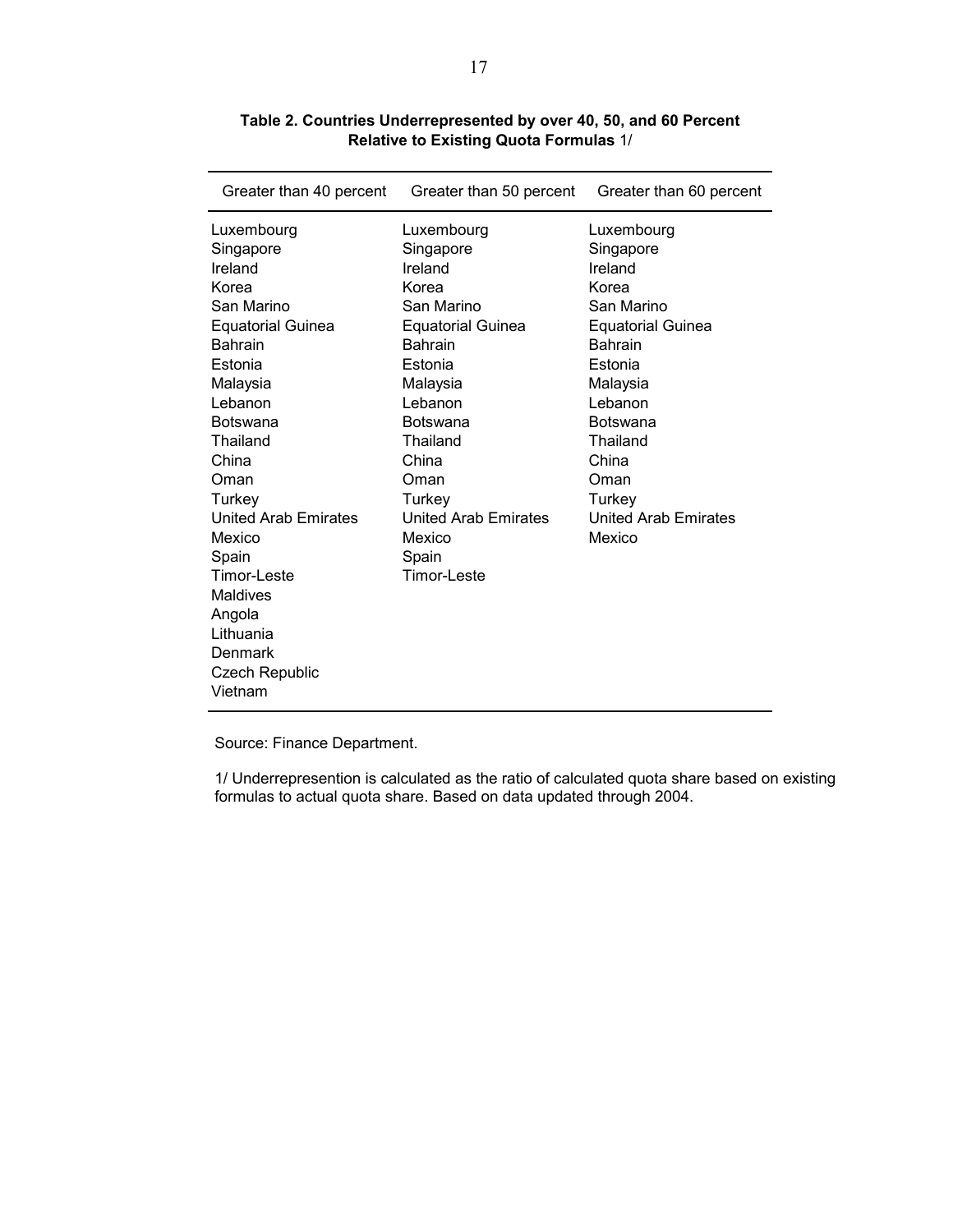| Greater than 40 percent                                                                                                                                                                                                                                                                                                                                | Greater than 50 percent                                                                                                                                                                                                                                              | Greater than 60 percent                                                                                                                                                                                                                      |
|--------------------------------------------------------------------------------------------------------------------------------------------------------------------------------------------------------------------------------------------------------------------------------------------------------------------------------------------------------|----------------------------------------------------------------------------------------------------------------------------------------------------------------------------------------------------------------------------------------------------------------------|----------------------------------------------------------------------------------------------------------------------------------------------------------------------------------------------------------------------------------------------|
| Luxembourg<br>Singapore<br>Ireland<br>Korea<br>San Marino<br><b>Equatorial Guinea</b><br><b>Bahrain</b><br>Estonia<br>Malaysia<br>Lebanon<br><b>Botswana</b><br>Thailand<br>China<br>Oman<br>Turkey<br><b>United Arab Emirates</b><br>Mexico<br>Spain<br>Timor-Leste<br><b>Maldives</b><br>Angola<br>Lithuania<br>Denmark<br>Czech Republic<br>Vietnam | Luxembourg<br>Singapore<br>Ireland<br>Korea<br>San Marino<br><b>Equatorial Guinea</b><br><b>Bahrain</b><br>Estonia<br>Malaysia<br>Lebanon<br><b>Botswana</b><br>Thailand<br>China<br>Oman<br>Turkey<br><b>United Arab Emirates</b><br>Mexico<br>Spain<br>Timor-Leste | Luxembourg<br>Singapore<br>Ireland<br>Korea<br>San Marino<br><b>Equatorial Guinea</b><br><b>Bahrain</b><br>Estonia<br>Malaysia<br>Lebanon<br><b>Botswana</b><br>Thailand<br>China<br>Oman<br>Turkey<br><b>United Arab Emirates</b><br>Mexico |
|                                                                                                                                                                                                                                                                                                                                                        |                                                                                                                                                                                                                                                                      |                                                                                                                                                                                                                                              |

**Table 2. Countries Underrepresented by over 40, 50, and 60 Percent Relative to Existing Quota Formulas** 1/

Source: Finance Department.

1/ Underrepresention is calculated as the ratio of calculated quota share based on existing formulas to actual quota share. Based on data updated through 2004.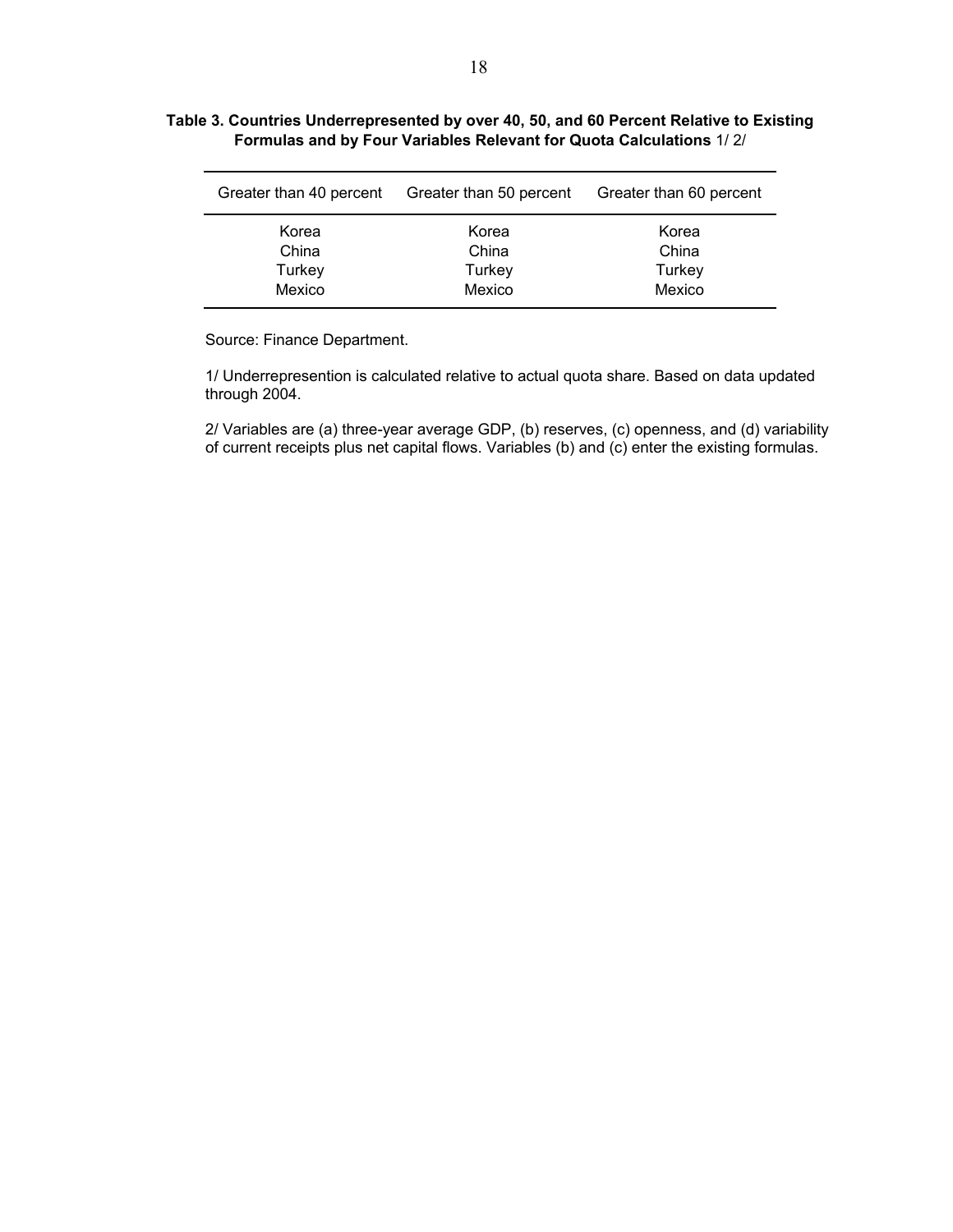#### **Table 3. Countries Underrepresented by over 40, 50, and 60 Percent Relative to Existing Formulas and by Four Variables Relevant for Quota Calculations** 1/ 2/

| Greater than 40 percent | Greater than 50 percent | Greater than 60 percent |  |  |
|-------------------------|-------------------------|-------------------------|--|--|
| Korea                   | Korea                   | Korea                   |  |  |
| China                   | China                   | China                   |  |  |
| Turkey                  | Turkey                  | Turkey                  |  |  |
| Mexico                  | Mexico                  | Mexico                  |  |  |

Source: Finance Department.

1/ Underrepresention is calculated relative to actual quota share. Based on data updated through 2004.

2/ Variables are (a) three-year average GDP, (b) reserves, (c) openness, and (d) variability of current receipts plus net capital flows. Variables (b) and (c) enter the existing formulas.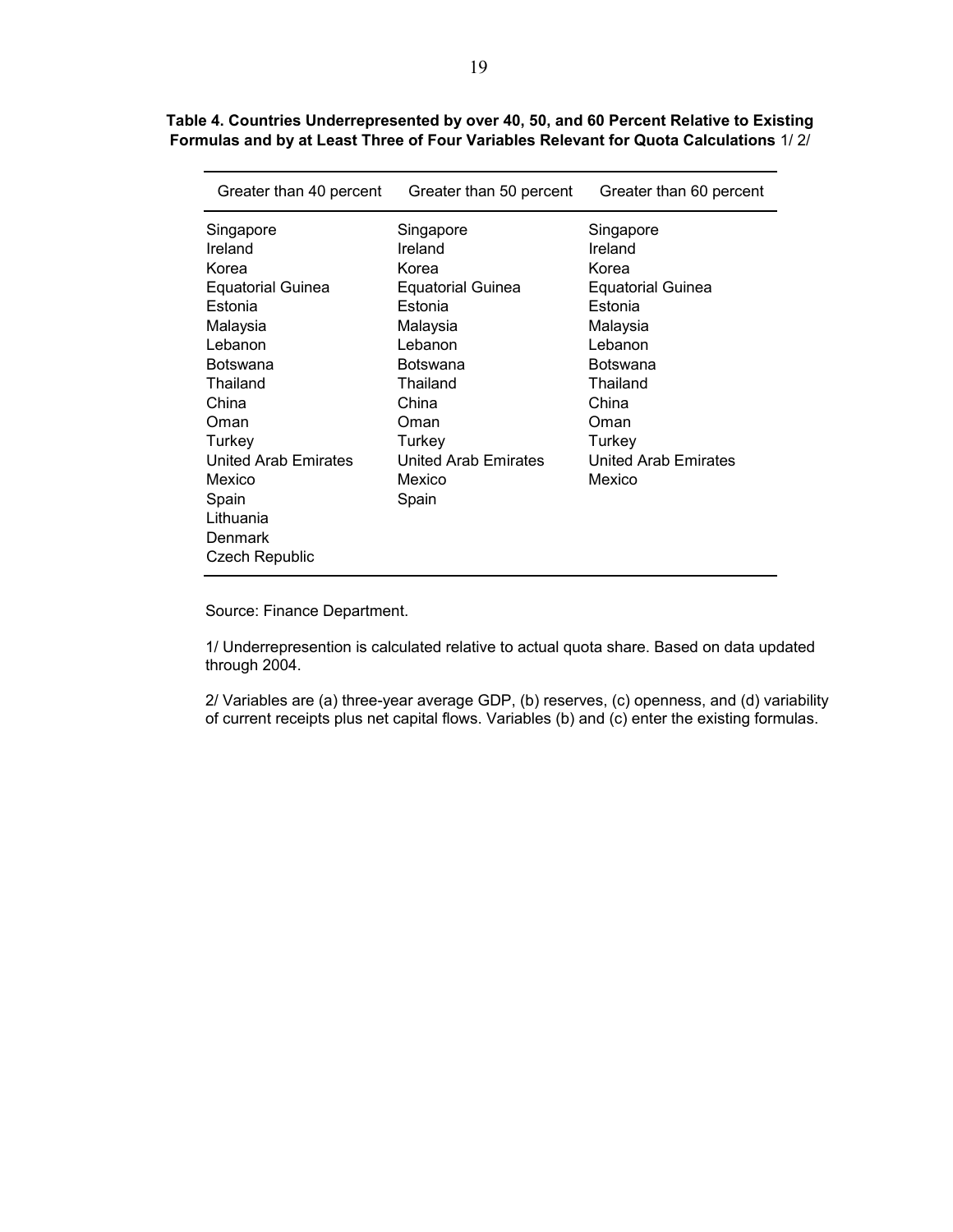| Greater than 40 percent  | Greater than 50 percent  | Greater than 60 percent     |  |  |
|--------------------------|--------------------------|-----------------------------|--|--|
| Singapore                | Singapore                | Singapore                   |  |  |
| Ireland                  | Ireland                  | Ireland                     |  |  |
| Korea                    | Korea                    | Korea                       |  |  |
| <b>Equatorial Guinea</b> | <b>Equatorial Guinea</b> | <b>Equatorial Guinea</b>    |  |  |
| Estonia                  | Estonia                  | Estonia                     |  |  |
| Malaysia                 | Malaysia                 | Malaysia                    |  |  |
| Lebanon                  | Lebanon                  | Lebanon                     |  |  |
| Botswana                 | Botswana                 | Botswana                    |  |  |
| Thailand                 | Thailand                 | Thailand                    |  |  |
| China                    | China                    | China                       |  |  |
| Oman                     | Oman                     | Oman                        |  |  |
| Turkey                   | Turkey                   | Turkey                      |  |  |
| United Arab Emirates     | United Arab Emirates     | <b>United Arab Emirates</b> |  |  |
| Mexico                   | Mexico                   | Mexico                      |  |  |
| Spain                    | Spain                    |                             |  |  |
| Lithuania                |                          |                             |  |  |
| Denmark                  |                          |                             |  |  |
| Czech Republic           |                          |                             |  |  |

**Table 4. Countries Underrepresented by over 40, 50, and 60 Percent Relative to Existing Formulas and by at Least Three of Four Variables Relevant for Quota Calculations** 1/ 2/

Source: Finance Department.

1/ Underrepresention is calculated relative to actual quota share. Based on data updated through 2004.

2/ Variables are (a) three-year average GDP, (b) reserves, (c) openness, and (d) variability of current receipts plus net capital flows. Variables (b) and (c) enter the existing formulas.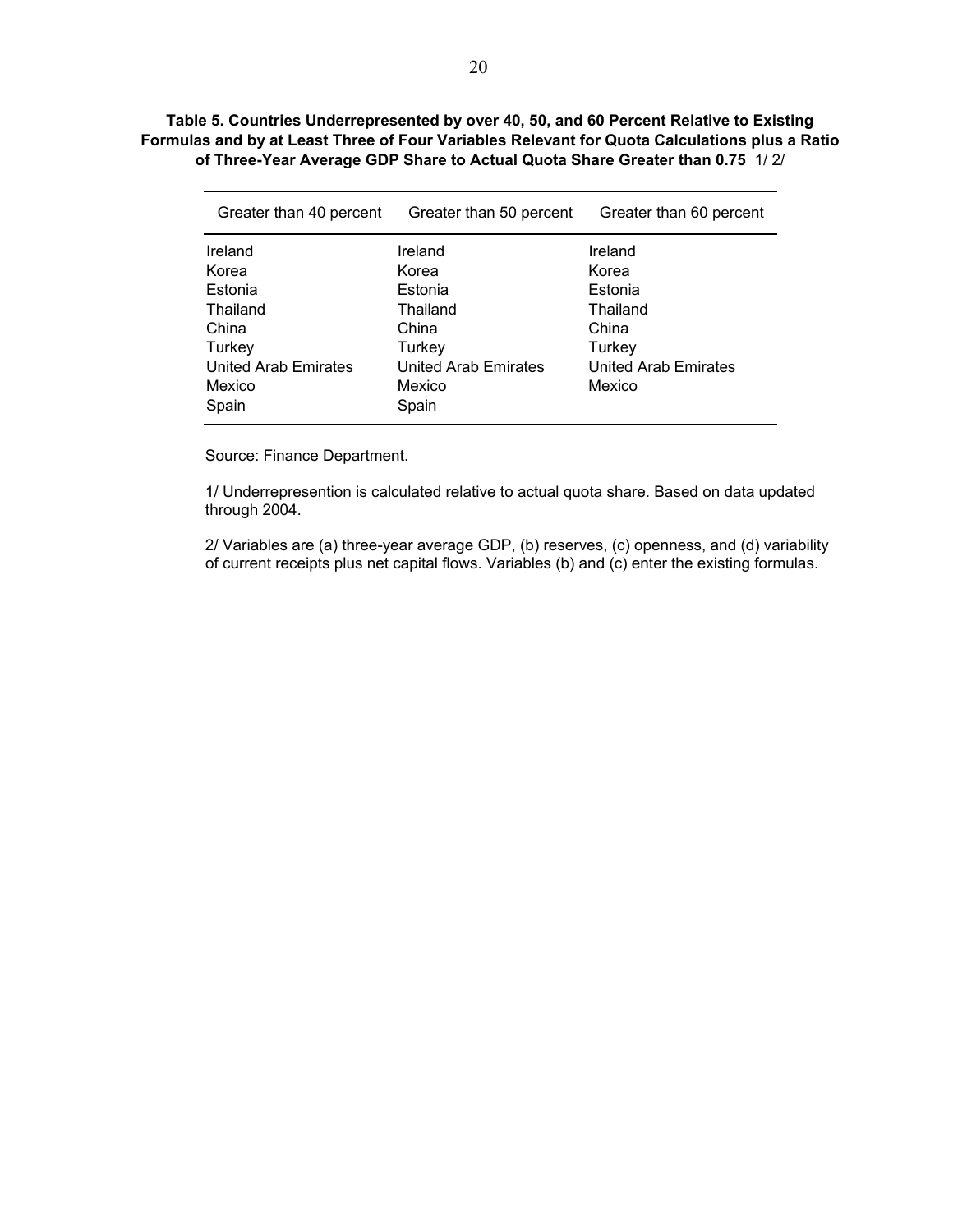#### **Table 5. Countries Underrepresented by over 40, 50, and 60 Percent Relative to Existing Formulas and by at Least Three of Four Variables Relevant for Quota Calculations plus a Ratio of Three-Year Average GDP Share to Actual Quota Share Greater than 0.75** 1/ 2/

| Greater than 40 percent | Greater than 50 percent | Greater than 60 percent |  |  |
|-------------------------|-------------------------|-------------------------|--|--|
| Ireland                 | Ireland                 | Ireland                 |  |  |
| Korea                   | Korea                   | Korea                   |  |  |
| Estonia                 | Estonia                 | Estonia                 |  |  |
| Thailand                | Thailand                | Thailand                |  |  |
| China                   | China                   | China                   |  |  |
| Turkey                  | Turkey                  | Turkey                  |  |  |
| United Arab Emirates    | United Arab Emirates    | United Arab Emirates    |  |  |
| Mexico                  | Mexico                  | Mexico                  |  |  |
| Spain                   | Spain                   |                         |  |  |

Source: Finance Department.

1/ Underrepresention is calculated relative to actual quota share. Based on data updated through 2004.

2/ Variables are (a) three-year average GDP, (b) reserves, (c) openness, and (d) variability of current receipts plus net capital flows. Variables (b) and (c) enter the existing formulas.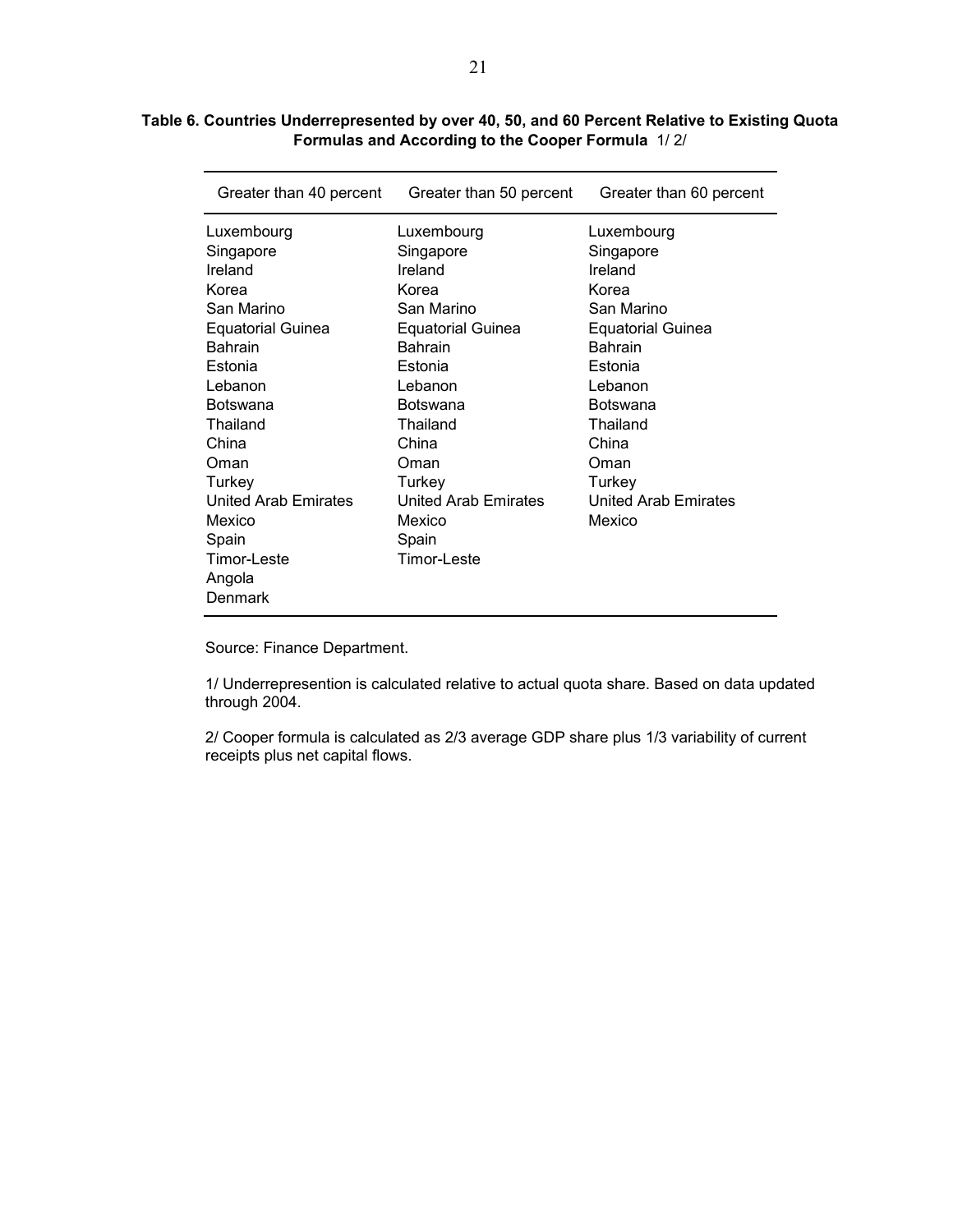#### **Table 6. Countries Underrepresented by over 40, 50, and 60 Percent Relative to Existing Quota Formulas and According to the Cooper Formula** 1/ 2/

| Greater than 40 percent                                                                                                                                                                                                                           | Greater than 50 percent                                                                                                                                                                                                                                  | Greater than 60 percent                                                                                                                                                                                     |
|---------------------------------------------------------------------------------------------------------------------------------------------------------------------------------------------------------------------------------------------------|----------------------------------------------------------------------------------------------------------------------------------------------------------------------------------------------------------------------------------------------------------|-------------------------------------------------------------------------------------------------------------------------------------------------------------------------------------------------------------|
| Luxembourg<br>Singapore<br>Ireland<br>Korea<br>San Marino<br><b>Equatorial Guinea</b><br><b>Bahrain</b><br>Estonia<br>Lebanon<br>Botswana<br>Thailand<br>China<br>Oman<br>Turkey<br><b>United Arab Emirates</b><br>Mexico<br>Spain<br>Timor-Leste | Luxembourg<br>Singapore<br>Ireland<br>Korea<br>San Marino<br><b>Equatorial Guinea</b><br><b>Bahrain</b><br>Estonia<br>Lebanon<br><b>Botswana</b><br>Thailand<br>China<br>Oman<br>Turkey<br><b>United Arab Emirates</b><br>Mexico<br>Spain<br>Timor-Leste | Luxembourg<br>Singapore<br>Ireland<br>Korea<br>San Marino<br>Equatorial Guinea<br><b>Bahrain</b><br>Estonia<br>Lebanon<br>Botswana<br>Thailand<br>China<br>Oman<br>Turkey<br>United Arab Emirates<br>Mexico |
| Angola<br>Denmark                                                                                                                                                                                                                                 |                                                                                                                                                                                                                                                          |                                                                                                                                                                                                             |

Source: Finance Department.

1/ Underrepresention is calculated relative to actual quota share. Based on data updated through 2004.

2/ Cooper formula is calculated as 2/3 average GDP share plus 1/3 variability of current receipts plus net capital flows.